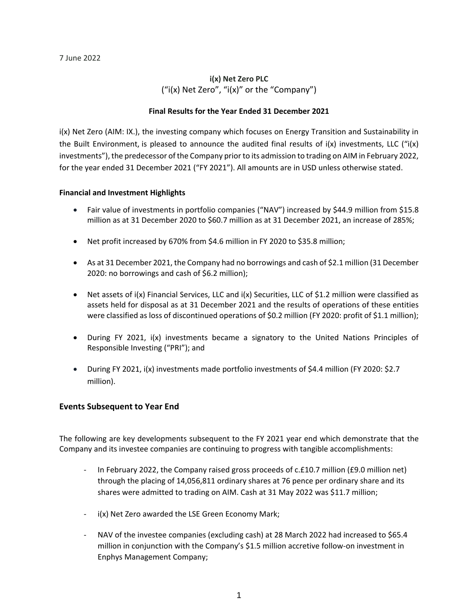# **i(x) Net Zero PLC** ("i(x) Net Zero", "i(x)" or the "Company")

# **Final Results for the Year Ended 31 December 2021**

i(x) Net Zero (AIM: IX.), the investing company which focuses on Energy Transition and Sustainability in the Built Environment, is pleased to announce the audited final results of  $i(x)$  investments, LLC ("i(x) investments"), the predecessor of the Company prior to its admission to trading on AIM in February 2022, for the year ended 31 December 2021 ("FY 2021"). All amounts are in USD unless otherwise stated.

# **Financial and Investment Highlights**

- Fair value of investments in portfolio companies ("NAV") increased by \$44.9 million from \$15.8 million as at 31 December 2020 to \$60.7 million as at 31 December 2021, an increase of 285%;
- Net profit increased by 670% from \$4.6 million in FY 2020 to \$35.8 million;
- As at 31 December 2021, the Company had no borrowings and cash of \$2.1 million (31 December 2020: no borrowings and cash of \$6.2 million);
- Net assets of i(x) Financial Services, LLC and i(x) Securities, LLC of \$1.2 million were classified as assets held for disposal as at 31 December 2021 and the results of operations of these entities were classified as loss of discontinued operations of \$0.2 million (FY 2020: profit of \$1.1 million);
- During FY 2021, i(x) investments became a signatory to the United Nations Principles of Responsible Investing ("PRI"); and
- During FY 2021, i(x) investments made portfolio investments of \$4.4 million (FY 2020: \$2.7 million).

# **Events Subsequent to Year End**

The following are key developments subsequent to the FY 2021 year end which demonstrate that the Company and its investee companies are continuing to progress with tangible accomplishments:

- In February 2022, the Company raised gross proceeds of  $c.f.10.7$  million ( $f.9.0$  million net) through the placing of 14,056,811 ordinary shares at 76 pence per ordinary share and its shares were admitted to trading on AIM. Cash at 31 May 2022 was \$11.7 million;
- i(x) Net Zero awarded the LSE Green Economy Mark;
- NAV of the investee companies (excluding cash) at 28 March 2022 had increased to \$65.4 million in conjunction with the Company's \$1.5 million accretive follow-on investment in Enphys Management Company;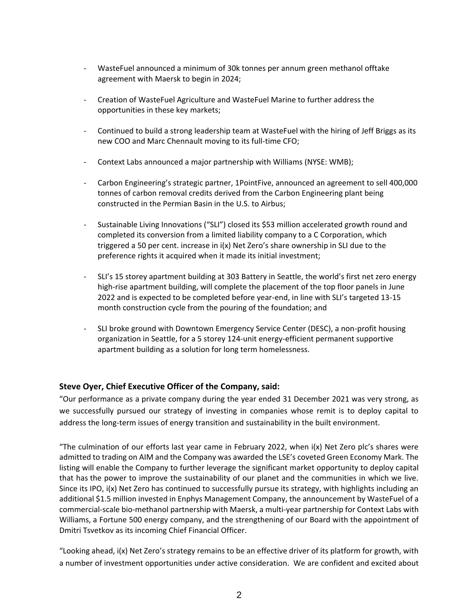- WasteFuel announced a minimum of 30k tonnes per annum green methanol offtake agreement with Maersk to begin in 2024;
- Creation of WasteFuel Agriculture and WasteFuel Marine to further address the opportunities in these key markets;
- Continued to build a strong leadership team at WasteFuel with the hiring of Jeff Briggs as its new COO and Marc Chennault moving to its full-time CFO;
- Context Labs announced a major partnership with Williams (NYSE: WMB);
- Carbon Engineering's strategic partner, 1PointFive, announced an agreement to sell 400,000 tonnes of carbon removal credits derived from the Carbon Engineering plant being constructed in the Permian Basin in the U.S. to Airbus;
- Sustainable Living Innovations ("SLI") closed its \$53 million accelerated growth round and completed its conversion from a limited liability company to a C Corporation, which triggered a 50 per cent. increase in i(x) Net Zero's share ownership in SLI due to the preference rights it acquired when it made its initial investment;
- SLI's 15 storey apartment building at 303 Battery in Seattle, the world's first net zero energy high-rise apartment building, will complete the placement of the top floor panels in June 2022 and is expected to be completed before year-end, in line with SLI's targeted 13-15 month construction cycle from the pouring of the foundation; and
- SLI broke ground with Downtown Emergency Service Center (DESC), a non-profit housing organization in Seattle, for a 5 storey 124-unit energy-efficient permanent supportive apartment building as a solution for long term homelessness.

# **Steve Oyer, Chief Executive Officer of the Company, said:**

"Our performance as a private company during the year ended 31 December 2021 was very strong, as we successfully pursued our strategy of investing in companies whose remit is to deploy capital to address the long-term issues of energy transition and sustainability in the built environment.

"The culmination of our efforts last year came in February 2022, when i(x) Net Zero plc's shares were admitted to trading on AIM and the Company was awarded the LSE's coveted Green Economy Mark. The listing will enable the Company to further leverage the significant market opportunity to deploy capital that has the power to improve the sustainability of our planet and the communities in which we live. Since its IPO, i(x) Net Zero has continued to successfully pursue its strategy, with highlights including an additional \$1.5 million invested in Enphys Management Company, the announcement by WasteFuel of a commercial-scale bio-methanol partnership with Maersk, a multi-year partnership for Context Labs with Williams, a Fortune 500 energy company, and the strengthening of our Board with the appointment of Dmitri Tsvetkov as its incoming Chief Financial Officer.

"Looking ahead, i(x) Net Zero's strategy remains to be an effective driver of its platform for growth, with a number of investment opportunities under active consideration. We are confident and excited about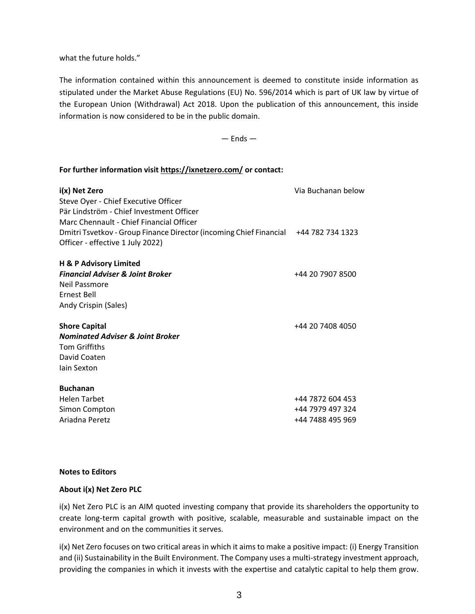what the future holds."

The information contained within this announcement is deemed to constitute inside information as stipulated under the Market Abuse Regulations (EU) No. 596/2014 which is part of UK law by virtue of the European Union (Withdrawal) Act 2018. Upon the publication of this announcement, this inside information is now considered to be in the public domain.

 $-$  Ends  $-$ 

# **For further information visit <https://ixnetzero.com/> or contact:**

| i(x) Net Zero                                                                       | Via Buchanan below |
|-------------------------------------------------------------------------------------|--------------------|
| Steve Oyer - Chief Executive Officer                                                |                    |
| Pär Lindström - Chief Investment Officer                                            |                    |
| Marc Chennault - Chief Financial Officer                                            |                    |
| Dmitri Tsvetkov - Group Finance Director (incoming Chief Financial +44 782 734 1323 |                    |
| Officer - effective 1 July 2022)                                                    |                    |
| H & P Advisory Limited                                                              |                    |
| <b>Financial Adviser &amp; Joint Broker</b>                                         | +44 20 7907 8500   |
| Neil Passmore                                                                       |                    |
| <b>Ernest Bell</b>                                                                  |                    |
| Andy Crispin (Sales)                                                                |                    |
| <b>Shore Capital</b>                                                                | +44 20 7408 4050   |
| <b>Nominated Adviser &amp; Joint Broker</b>                                         |                    |
| <b>Tom Griffiths</b>                                                                |                    |
| David Coaten                                                                        |                    |
| lain Sexton                                                                         |                    |
| <b>Buchanan</b>                                                                     |                    |
| <b>Helen Tarbet</b>                                                                 | +44 7872 604 453   |
| Simon Compton                                                                       | +44 7979 497 324   |
| Ariadna Peretz                                                                      | +44 7488 495 969   |

#### **Notes to Editors**

#### **About i(x) Net Zero PLC**

i(x) Net Zero PLC is an AIM quoted investing company that provide its shareholders the opportunity to create long-term capital growth with positive, scalable, measurable and sustainable impact on the environment and on the communities it serves.

i(x) Net Zero focuses on two critical areas in which it aims to make a positive impact: (i) Energy Transition and (ii) Sustainability in the Built Environment. The Company uses a multi-strategy investment approach, providing the companies in which it invests with the expertise and catalytic capital to help them grow.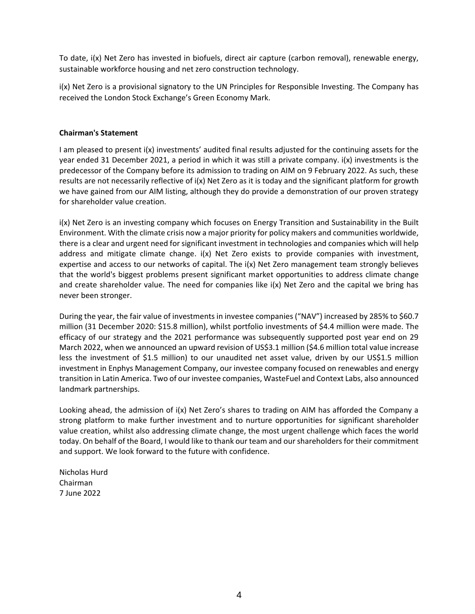To date, i(x) Net Zero has invested in biofuels, direct air capture (carbon removal), renewable energy, sustainable workforce housing and net zero construction technology.

i(x) Net Zero is a provisional signatory to the UN Principles for Responsible Investing. The Company has received the London Stock Exchange's Green Economy Mark.

# **Chairman's Statement**

I am pleased to present i(x) investments' audited final results adjusted for the continuing assets for the year ended 31 December 2021, a period in which it was still a private company. i(x) investments is the predecessor of the Company before its admission to trading on AIM on 9 February 2022. As such, these results are not necessarily reflective of i(x) Net Zero as it is today and the significant platform for growth we have gained from our AIM listing, although they do provide a demonstration of our proven strategy for shareholder value creation.

i(x) Net Zero is an investing company which focuses on Energy Transition and Sustainability in the Built Environment. With the climate crisis now a major priority for policy makers and communities worldwide, there is a clear and urgent need for significant investment in technologies and companies which will help address and mitigate climate change. i(x) Net Zero exists to provide companies with investment, expertise and access to our networks of capital. The i(x) Net Zero management team strongly believes that the world's biggest problems present significant market opportunities to address climate change and create shareholder value. The need for companies like i(x) Net Zero and the capital we bring has never been stronger.

During the year, the fair value of investments in investee companies ("NAV") increased by 285% to \$60.7 million (31 December 2020: \$15.8 million), whilst portfolio investments of \$4.4 million were made. The efficacy of our strategy and the 2021 performance was subsequently supported post year end on 29 March 2022, when we announced an upward revision of US\$3.1 million (\$4.6 million total value increase less the investment of \$1.5 million) to our unaudited net asset value, driven by our US\$1.5 million investment in Enphys Management Company, our investee company focused on renewables and energy transition in Latin America. Two of our investee companies, WasteFuel and Context Labs, also announced landmark partnerships.

Looking ahead, the admission of i(x) Net Zero's shares to trading on AIM has afforded the Company a strong platform to make further investment and to nurture opportunities for significant shareholder value creation, whilst also addressing climate change, the most urgent challenge which faces the world today. On behalf of the Board, I would like to thank our team and our shareholders for their commitment and support. We look forward to the future with confidence.

Nicholas Hurd Chairman 7 June 2022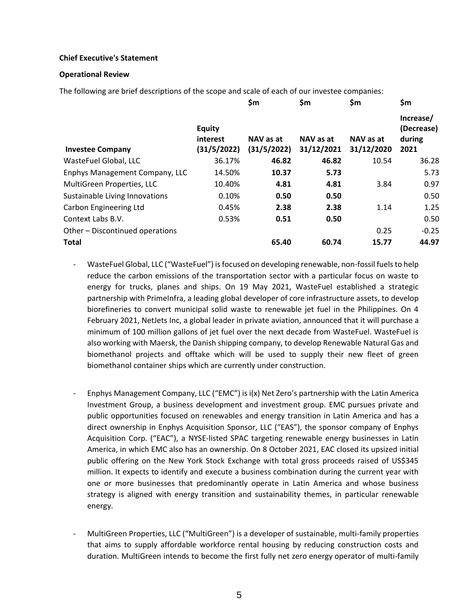# **Chief Executive's Statement**

#### **Operational Review**

The following are brief descriptions of the scope and scale of each of our investee companies:

|                                 |                                          | \$m                      | \$m                     | \$m                     | \$m                                       |
|---------------------------------|------------------------------------------|--------------------------|-------------------------|-------------------------|-------------------------------------------|
| <b>Investee Company</b>         | <b>Equity</b><br>interest<br>(31/5/2022) | NAV as at<br>(31/5/2022) | NAV as at<br>31/12/2021 | NAV as at<br>31/12/2020 | Increase/<br>(Decrease)<br>during<br>2021 |
| WasteFuel Global, LLC           | 36.17%                                   | 46.82                    | 46.82                   | 10.54                   | 36.28                                     |
| Enphys Management Company, LLC  | 14.50%                                   | 10.37                    | 5.73                    |                         | 5.73                                      |
| MultiGreen Properties, LLC      | 10.40%                                   | 4.81                     | 4.81                    | 3.84                    | 0.97                                      |
| Sustainable Living Innovations  | 0.10%                                    | 0.50                     | 0.50                    |                         | 0.50                                      |
| Carbon Engineering Ltd          | 0.45%                                    | 2.38                     | 2.38                    | 1.14                    | 1.25                                      |
| Context Labs B.V.               | 0.53%                                    | 0.51                     | 0.50                    |                         | 0.50                                      |
| Other - Discontinued operations |                                          |                          |                         | 0.25                    | $-0.25$                                   |
| <b>Total</b>                    |                                          | 65.40                    | 60.74                   | 15.77                   | 44.97                                     |

- WasteFuel Global, LLC ("WasteFuel") is focused on developing renewable, non-fossil fuels to help reduce the carbon emissions of the transportation sector with a particular focus on waste to energy for trucks, planes and ships. On 19 May 2021, WasteFuel established a strategic partnership with PrimeInfra, a leading global developer of core infrastructure assets, to develop biorefineries to convert municipal solid waste to renewable jet fuel in the Philippines. On 4 February 2021, NetJets Inc, a global leader in private aviation, announced that it will purchase a minimum of 100 million gallons of jet fuel over the next decade from WasteFuel. WasteFuel is also working with Maersk, the Danish shipping company, to develop Renewable Natural Gas and biomethanol projects and offtake which will be used to supply their new fleet of green biomethanol container ships which are currently under construction.
- Enphys Management Company, LLC ("EMC") is i(x) Net Zero's partnership with the Latin America Investment Group, a business development and investment group. EMC pursues private and public opportunities focused on renewables and energy transition in Latin America and has a direct ownership in Enphys Acquisition Sponsor, LLC ("EAS"), the sponsor company of Enphys Acquisition Corp. ("EAC"), a NYSE-listed SPAC targeting renewable energy businesses in Latin America, in which EMC also has an ownership. On 8 October 2021, EAC closed its upsized initial public offering on the New York Stock Exchange with total gross proceeds raised of US\$345 million. It expects to identify and execute a business combination during the current year with one or more businesses that predominantly operate in Latin America and whose business strategy is aligned with energy transition and sustainability themes, in particular renewable energy.
- MultiGreen Properties, LLC ("MultiGreen") is a developer of sustainable, multi-family properties that aims to supply affordable workforce rental housing by reducing construction costs and duration. MultiGreen intends to become the first fully net zero energy operator of multi-family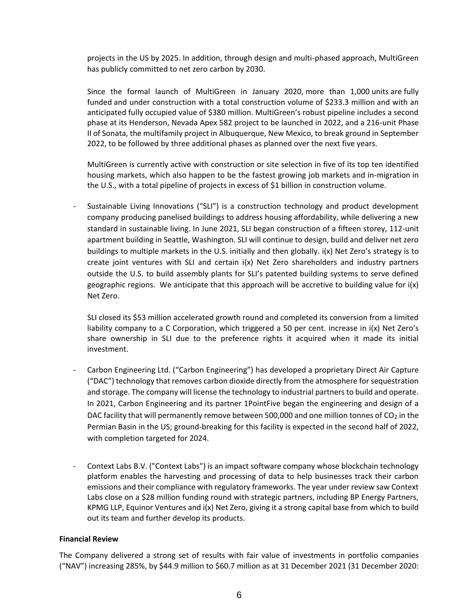projects in the US by 2025. In addition, through design and multi-phased approach, MultiGreen has publicly committed to net zero carbon by 2030.

Since the formal launch of MultiGreen in January 2020, more than 1,000 units are fully funded and under construction with a total construction volume of \$233.3 million and with an anticipated fully occupied value of \$380 million. MultiGreen's robust pipeline includes a second phase at its Henderson, Nevada Apex 582 project to be launched in 2022, and a 216-unit Phase II of Sonata, the multifamily project in Albuquerque, New Mexico, to break ground in September 2022, to be followed by three additional phases as planned over the next five years.

MultiGreen is currently active with construction or site selection in five of its top ten identified housing markets, which also happen to be the fastest growing job markets and in-migration in the U.S., with a total pipeline of projects in excess of \$1 billion in construction volume.

- Sustainable Living Innovations ("SLI") is a construction technology and product development company producing panelised buildings to address housing affordability, while delivering a new standard in sustainable living. In June 2021, SLI began construction of a fifteen storey, 112-unit apartment building in Seattle, Washington. SLI will continue to design, build and deliver net zero buildings to multiple markets in the U.S. initially and then globally. i(x) Net Zero's strategy is to create joint ventures with SLI and certain i(x) Net Zero shareholders and industry partners outside the U.S. to build assembly plants for SLI's patented building systems to serve defined geographic regions. We anticipate that this approach will be accretive to building value for i(x) Net Zero.

SLI closed its \$53 million accelerated growth round and completed its conversion from a limited liability company to a C Corporation, which triggered a 50 per cent. increase in i(x) Net Zero's share ownership in SLI due to the preference rights it acquired when it made its initial investment.

- Carbon Engineering Ltd. ("Carbon Engineering") has developed a proprietary Direct Air Capture ("DAC") technology that removes carbon dioxide directly from the atmosphere for sequestration and storage. The company will license the technology to industrial partners to build and operate. In 2021, Carbon Engineering and its partner 1PointFive began the engineering and design of a DAC facility that will permanently remove between 500,000 and one million tonnes of  $CO<sub>2</sub>$  in the Permian Basin in the US; ground-breaking for this facility is expected in the second half of 2022, with completion targeted for 2024.
- Context Labs B.V. ("Context Labs") is an impact software company whose blockchain technology platform enables the harvesting and processing of data to help businesses track their carbon emissions and their compliance with regulatory frameworks. The year under review saw Context Labs close on a \$28 million funding round with strategic partners, including BP Energy Partners, KPMG LLP, Equinor Ventures and i(x) Net Zero, giving it a strong capital base from which to build out its team and further develop its products.

# **Financial Review**

The Company delivered a strong set of results with fair value of investments in portfolio companies ("NAV") increasing 285%, by \$44.9 million to \$60.7 million as at 31 December 2021 (31 December 2020: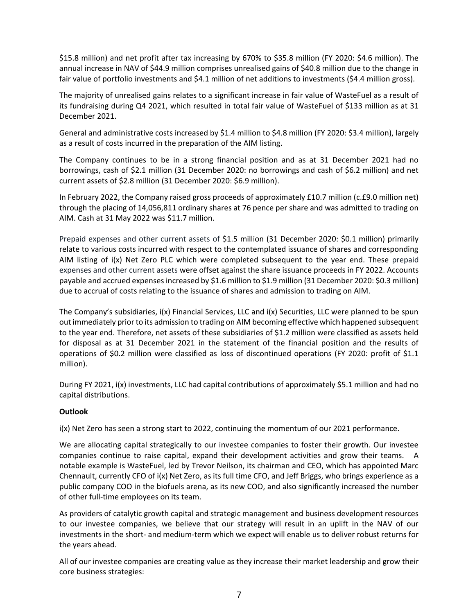\$15.8 million) and net profit after tax increasing by 670% to \$35.8 million (FY 2020: \$4.6 million). The annual increase in NAV of \$44.9 million comprises unrealised gains of \$40.8 million due to the change in fair value of portfolio investments and \$4.1 million of net additions to investments (\$4.4 million gross).

The majority of unrealised gains relates to a significant increase in fair value of WasteFuel as a result of its fundraising during Q4 2021, which resulted in total fair value of WasteFuel of \$133 million as at 31 December 2021.

General and administrative costs increased by \$1.4 million to \$4.8 million (FY 2020: \$3.4 million), largely as a result of costs incurred in the preparation of the AIM listing.

The Company continues to be in a strong financial position and as at 31 December 2021 had no borrowings, cash of \$2.1 million (31 December 2020: no borrowings and cash of \$6.2 million) and net current assets of \$2.8 million (31 December 2020: \$6.9 million).

In February 2022, the Company raised gross proceeds of approximately £10.7 million (c.£9.0 million net) through the placing of 14,056,811 ordinary shares at 76 pence per share and was admitted to trading on AIM. Cash at 31 May 2022 was \$11.7 million.

Prepaid expenses and other current assets of \$1.5 million (31 December 2020: \$0.1 million) primarily relate to various costs incurred with respect to the contemplated issuance of shares and corresponding AIM listing of i(x) Net Zero PLC which were completed subsequent to the year end. These prepaid expenses and other current assets were offset against the share issuance proceeds in FY 2022. Accounts payable and accrued expenses increased by \$1.6 million to \$1.9 million (31 December 2020: \$0.3 million) due to accrual of costs relating to the issuance of shares and admission to trading on AIM.

The Company's subsidiaries, i(x) Financial Services, LLC and i(x) Securities, LLC were planned to be spun out immediately prior to its admission to trading on AIM becoming effective which happened subsequent to the year end. Therefore, net assets of these subsidiaries of \$1.2 million were classified as assets held for disposal as at 31 December 2021 in the statement of the financial position and the results of operations of \$0.2 million were classified as loss of discontinued operations (FY 2020: profit of \$1.1 million).

During FY 2021, i(x) investments, LLC had capital contributions of approximately \$5.1 million and had no capital distributions.

# **Outlook**

i(x) Net Zero has seen a strong start to 2022, continuing the momentum of our 2021 performance.

We are allocating capital strategically to our investee companies to foster their growth. Our investee companies continue to raise capital, expand their development activities and grow their teams. A notable example is WasteFuel, led by Trevor Neilson, its chairman and CEO, which has appointed Marc Chennault, currently CFO of i(x) Net Zero, as its full time CFO, and Jeff Briggs, who brings experience as a public company COO in the biofuels arena, as its new COO, and also significantly increased the number of other full-time employees on its team.

As providers of catalytic growth capital and strategic management and business development resources to our investee companies, we believe that our strategy will result in an uplift in the NAV of our investments in the short- and medium-term which we expect will enable us to deliver robust returns for the years ahead.

All of our investee companies are creating value as they increase their market leadership and grow their core business strategies: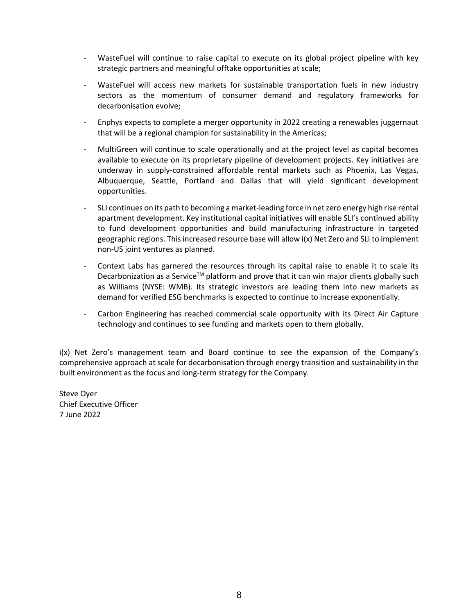- WasteFuel will continue to raise capital to execute on its global project pipeline with key strategic partners and meaningful offtake opportunities at scale;
- WasteFuel will access new markets for sustainable transportation fuels in new industry sectors as the momentum of consumer demand and regulatory frameworks for decarbonisation evolve;
- Enphys expects to complete a merger opportunity in 2022 creating a renewables juggernaut that will be a regional champion for sustainability in the Americas;
- MultiGreen will continue to scale operationally and at the project level as capital becomes available to execute on its proprietary pipeline of development projects. Key initiatives are underway in supply-constrained affordable rental markets such as Phoenix, Las Vegas, Albuquerque, Seattle, Portland and Dallas that will yield significant development opportunities.
- SLI continues on its path to becoming a market-leading force in net zero energy high rise rental apartment development. Key institutional capital initiatives will enable SLI's continued ability to fund development opportunities and build manufacturing infrastructure in targeted geographic regions. This increased resource base will allow i(x) Net Zero and SLI to implement non-US joint ventures as planned.
- Context Labs has garnered the resources through its capital raise to enable it to scale its Decarbonization as a Service<sup>TM</sup> platform and prove that it can win major clients globally such as Williams (NYSE: WMB). Its strategic investors are leading them into new markets as demand for verified ESG benchmarks is expected to continue to increase exponentially.
- Carbon Engineering has reached commercial scale opportunity with its Direct Air Capture technology and continues to see funding and markets open to them globally.

i(x) Net Zero's management team and Board continue to see the expansion of the Company's comprehensive approach at scale for decarbonisation through energy transition and sustainability in the built environment as the focus and long-term strategy for the Company.

Steve Oyer Chief Executive Officer 7 June 2022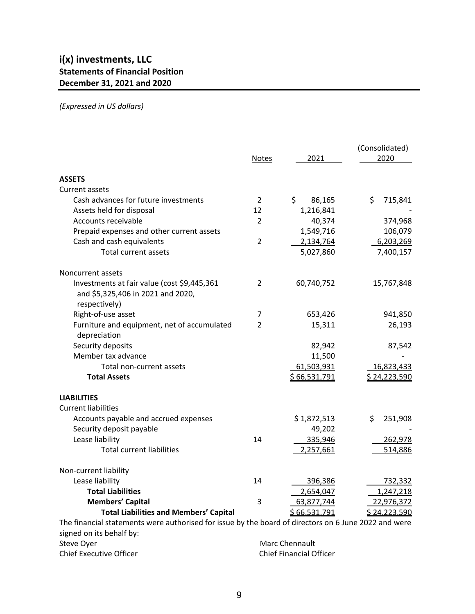# *(Expressed in US dollars)*

|                                                                                                      | <b>Notes</b>   | 2021           | (Consolidated)<br>2020 |
|------------------------------------------------------------------------------------------------------|----------------|----------------|------------------------|
| <b>ASSETS</b>                                                                                        |                |                |                        |
| Current assets                                                                                       |                |                |                        |
| Cash advances for future investments                                                                 | $\overline{2}$ | \$<br>86,165   | \$<br>715,841          |
| Assets held for disposal                                                                             | 12             | 1,216,841      |                        |
| Accounts receivable                                                                                  | $\overline{2}$ | 40,374         | 374,968                |
| Prepaid expenses and other current assets                                                            |                | 1,549,716      | 106,079                |
| Cash and cash equivalents                                                                            | $\overline{2}$ | 2,134,764      | 6,203,269              |
| <b>Total current assets</b>                                                                          |                | 5,027,860      | 7,400,157              |
| Noncurrent assets                                                                                    |                |                |                        |
| Investments at fair value (cost \$9,445,361<br>and \$5,325,406 in 2021 and 2020,<br>respectively)    | $\overline{2}$ | 60,740,752     | 15,767,848             |
| Right-of-use asset                                                                                   | 7              | 653,426        | 941,850                |
| Furniture and equipment, net of accumulated                                                          | $\overline{2}$ | 15,311         | 26,193                 |
| depreciation                                                                                         |                |                |                        |
| Security deposits                                                                                    |                | 82,942         | 87,542                 |
| Member tax advance                                                                                   |                | 11,500         |                        |
| Total non-current assets                                                                             |                | 61,503,931     | 16,823,433             |
| <b>Total Assets</b>                                                                                  |                | \$66,531,791   | \$24,223,590           |
| <b>LIABILITIES</b>                                                                                   |                |                |                        |
| <b>Current liabilities</b>                                                                           |                |                |                        |
| Accounts payable and accrued expenses                                                                |                | \$1,872,513    | \$<br>251,908          |
| Security deposit payable                                                                             |                | 49,202         |                        |
| Lease liability                                                                                      | 14             | 335,946        | 262,978                |
| <b>Total current liabilities</b>                                                                     |                | 2,257,661      | 514,886                |
| Non-current liability                                                                                |                |                |                        |
| Lease liability                                                                                      | 14             | 396,386        | 732,332                |
| <b>Total Liabilities</b>                                                                             |                | 2,654,047      | 1,247,218              |
| <b>Members' Capital</b>                                                                              | 3              | 63,877,744     | 22,976,372             |
| <b>Total Liabilities and Members' Capital</b>                                                        |                | \$66,531,791   | \$24,223,590           |
| The financial statements were authorised for issue by the board of directors on 6 June 2022 and were |                |                |                        |
| signed on its behalf by:                                                                             |                |                |                        |
| Steve Oyer                                                                                           |                | Marc Chennault |                        |

Chief Executive Officer Chief Financial Officer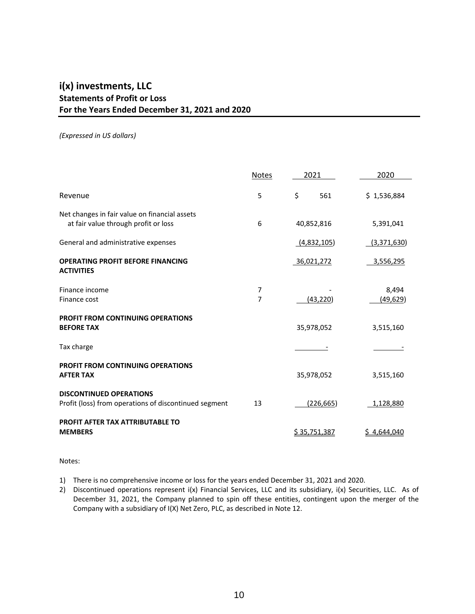# **i(x) investments, LLC Statements of Profit or Loss For the Years Ended December 31, 2021 and 2020**

#### *(Expressed in US dollars)*

|                                                                                         | Notes  | 2021         | 2020               |
|-----------------------------------------------------------------------------------------|--------|--------------|--------------------|
| Revenue                                                                                 | 5      | \$<br>561    | \$1,536,884        |
| Net changes in fair value on financial assets<br>at fair value through profit or loss   | 6      | 40,852,816   | 5,391,041          |
| General and administrative expenses                                                     |        | (4,832,105)  | (3,371,630)        |
| <b>OPERATING PROFIT BEFORE FINANCING</b><br><b>ACTIVITIES</b>                           |        | 36,021,272   | 3,556,295          |
| Finance income<br>Finance cost                                                          | 7<br>7 | (43, 220)    | 8,494<br>(49, 629) |
| <b>PROFIT FROM CONTINUING OPERATIONS</b><br><b>BEFORE TAX</b>                           |        | 35,978,052   | 3,515,160          |
| Tax charge                                                                              |        |              |                    |
| <b>PROFIT FROM CONTINUING OPERATIONS</b><br><b>AFTER TAX</b>                            |        | 35,978,052   | 3,515,160          |
| <b>DISCONTINUED OPERATIONS</b><br>Profit (loss) from operations of discontinued segment | 13     | (226, 665)   | 1,128,880          |
| <b>PROFIT AFTER TAX ATTRIBUTABLE TO</b><br><b>MEMBERS</b>                               |        | \$35,751,387 | \$4,644,040        |

#### Notes:

- 1) There is no comprehensive income or loss for the years ended December 31, 2021 and 2020.
- 2) Discontinued operations represent i(x) Financial Services, LLC and its subsidiary, i(x) Securities, LLC. As of December 31, 2021, the Company planned to spin off these entities, contingent upon the merger of the Company with a subsidiary of I(X) Net Zero, PLC, as described in Note 12.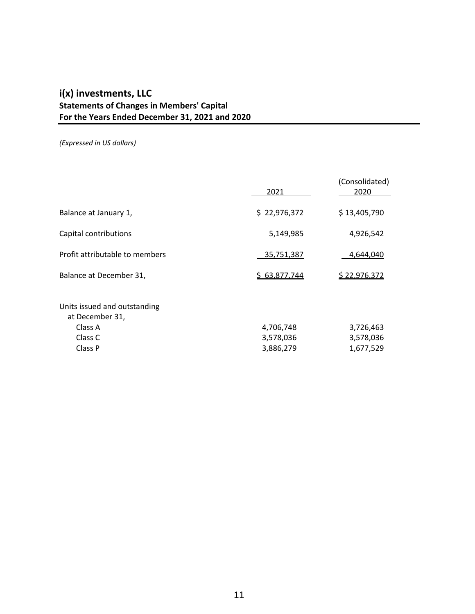# **i(x) investments, LLC Statements of Changes in Members' Capital For the Years Ended December 31, 2021 and 2020**

*(Expressed in US dollars)*

|                                                                                  | 2021                                | (Consolidated)<br>2020              |
|----------------------------------------------------------------------------------|-------------------------------------|-------------------------------------|
| Balance at January 1,                                                            | \$22,976,372                        | \$13,405,790                        |
| Capital contributions                                                            | 5,149,985                           | 4,926,542                           |
| Profit attributable to members                                                   | 35,751,387                          | 4,644,040                           |
| Balance at December 31,                                                          | \$63,877,744                        | \$22,976,372                        |
| Units issued and outstanding<br>at December 31,<br>Class A<br>Class C<br>Class P | 4,706,748<br>3,578,036<br>3,886,279 | 3,726,463<br>3,578,036<br>1,677,529 |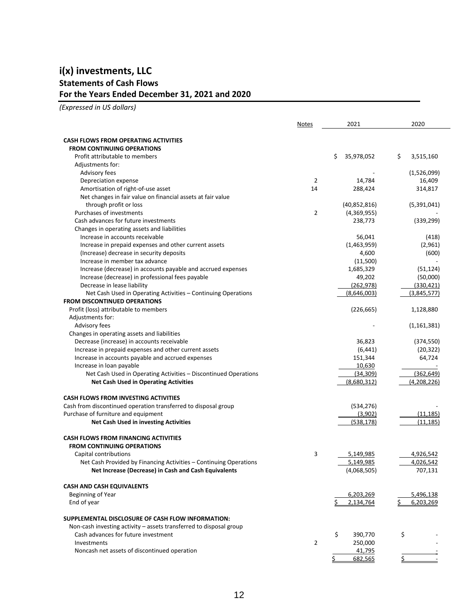# **i(x) investments, LLC Statements of Cash Flows For the Years Ended December 31, 2021 and 2020**

*(Expressed in US dollars)*

|                                                                                       | <b>Notes</b>   | 2021                        | 2020             |
|---------------------------------------------------------------------------------------|----------------|-----------------------------|------------------|
|                                                                                       |                |                             |                  |
| <b>CASH FLOWS FROM OPERATING ACTIVITIES</b>                                           |                |                             |                  |
| <b>FROM CONTINUING OPERATIONS</b>                                                     |                |                             |                  |
| Profit attributable to members                                                        |                | 35,978,052<br>\$.           | \$<br>3,515,160  |
| Adjustments for:                                                                      |                |                             |                  |
| Advisory fees                                                                         |                |                             | (1,526,099)      |
| Depreciation expense                                                                  | 2<br>14        | 14,784                      | 16,409           |
| Amortisation of right-of-use asset                                                    |                | 288,424                     | 314,817          |
| Net changes in fair value on financial assets at fair value<br>through profit or loss |                |                             |                  |
| Purchases of investments                                                              | $\overline{2}$ | (40,852,816)<br>(4,369,955) | (5,391,041)      |
| Cash advances for future investments                                                  |                | 238,773                     | (339, 299)       |
| Changes in operating assets and liabilities                                           |                |                             |                  |
| Increase in accounts receivable                                                       |                | 56,041                      |                  |
| Increase in prepaid expenses and other current assets                                 |                | (1,463,959)                 | (418)<br>(2,961) |
| (Increase) decrease in security deposits                                              |                | 4,600                       | (600)            |
| Increase in member tax advance                                                        |                | (11,500)                    |                  |
| Increase (decrease) in accounts payable and accrued expenses                          |                | 1,685,329                   | (51, 124)        |
| Increase (decrease) in professional fees payable                                      |                | 49,202                      | (50,000)         |
| Decrease in lease liability                                                           |                | (262, 978)                  | (330, 421)       |
| Net Cash Used in Operating Activities - Continuing Operations                         |                | (8,646,003)                 | (3,845,577)      |
| <b>FROM DISCONTINUED OPERATIONS</b>                                                   |                |                             |                  |
| Profit (loss) attributable to members                                                 |                | (226, 665)                  | 1,128,880        |
| Adjustments for:                                                                      |                |                             |                  |
| Advisory fees                                                                         |                |                             | (1, 161, 381)    |
| Changes in operating assets and liabilities                                           |                |                             |                  |
| Decrease (increase) in accounts receivable                                            |                | 36,823                      | (374, 550)       |
| Increase in prepaid expenses and other current assets                                 |                | (6, 441)                    | (20, 322)        |
| Increase in accounts payable and accrued expenses                                     |                | 151,344                     | 64,724           |
| Increase in loan payable                                                              |                | 10,630                      |                  |
| Net Cash Used in Operating Activities - Discontinued Operations                       |                | (34, 309)                   | (362, 649)       |
| <b>Net Cash Used in Operating Activities</b>                                          |                | (8,680,312)                 | (4,208,226)      |
|                                                                                       |                |                             |                  |
| <b>CASH FLOWS FROM INVESTING ACTIVITIES</b>                                           |                |                             |                  |
| Cash from discontinued operation transferred to disposal group                        |                | (534, 276)                  |                  |
| Purchase of furniture and equipment                                                   |                | (3,902)                     | (11, 185)        |
| Net Cash Used in investing Activities                                                 |                | (538, 178)                  | (11, 185)        |
|                                                                                       |                |                             |                  |
| <b>CASH FLOWS FROM FINANCING ACTIVITIES</b>                                           |                |                             |                  |
| <b>FROM CONTINUING OPERATIONS</b>                                                     |                |                             |                  |
| Capital contributions                                                                 | 3              | 5,149,985                   | 4,926,542        |
| Net Cash Provided by Financing Activities - Continuing Operations                     |                | 5,149,985                   | 4,026,542        |
| Net Increase (Decrease) in Cash and Cash Equivalents                                  |                | (4,068,505)                 | 707,131          |
| <b>CASH AND CASH EQUIVALENTS</b>                                                      |                |                             |                  |
| Beginning of Year                                                                     |                |                             | 5,496,138        |
| End of year                                                                           |                | 6,203,269<br>2,134,764      | 6,203,269<br>\$  |
|                                                                                       |                |                             |                  |
| SUPPLEMENTAL DISCLOSURE OF CASH FLOW INFORMATION:                                     |                |                             |                  |
| Non-cash investing activity - assets transferred to disposal group                    |                |                             |                  |
| Cash advances for future investment                                                   |                | \$<br>390,770               | \$               |
| Investments                                                                           | $\overline{2}$ | 250,000                     |                  |
| Noncash net assets of discontinued operation                                          |                | 41,795                      |                  |
|                                                                                       |                | 682,565                     |                  |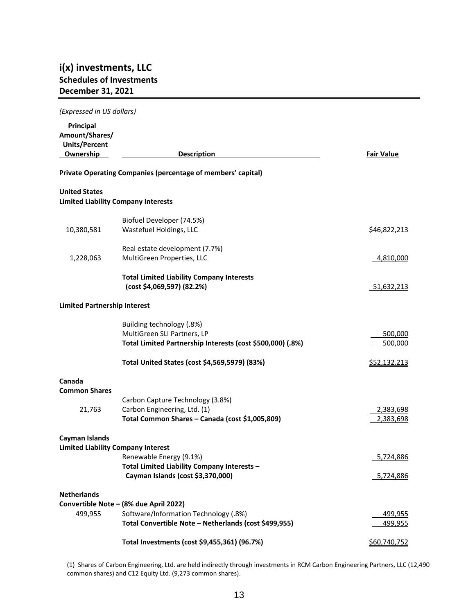# **i(x) investments, LLC Schedules of Investments December 31, 2021**

| (Expressed in US dollars)                                                      |                                                                                                                                                                                                                                                                 |
|--------------------------------------------------------------------------------|-----------------------------------------------------------------------------------------------------------------------------------------------------------------------------------------------------------------------------------------------------------------|
| <b>Description</b>                                                             | <b>Fair Value</b>                                                                                                                                                                                                                                               |
| Private Operating Companies (percentage of members' capital)                   |                                                                                                                                                                                                                                                                 |
|                                                                                |                                                                                                                                                                                                                                                                 |
| <b>Limited Liability Company Interests</b>                                     |                                                                                                                                                                                                                                                                 |
| Biofuel Developer (74.5%)                                                      |                                                                                                                                                                                                                                                                 |
| Wastefuel Holdings, LLC                                                        | \$46,822,213                                                                                                                                                                                                                                                    |
|                                                                                |                                                                                                                                                                                                                                                                 |
| MultiGreen Properties, LLC                                                     | 4,810,000                                                                                                                                                                                                                                                       |
| <b>Total Limited Liability Company Interests</b><br>(cost \$4,069,597) (82.2%) | 51,632,213                                                                                                                                                                                                                                                      |
| <b>Limited Partnership Interest</b>                                            |                                                                                                                                                                                                                                                                 |
| Building technology (.8%)                                                      |                                                                                                                                                                                                                                                                 |
| MultiGreen SLI Partners, LP                                                    | 500,000                                                                                                                                                                                                                                                         |
| Total Limited Partnership Interests (cost \$500,000) (.8%)                     | 500,000                                                                                                                                                                                                                                                         |
| Total United States (cost \$4,569,5979) (83%)                                  | <u>\$52,132,213</u>                                                                                                                                                                                                                                             |
|                                                                                |                                                                                                                                                                                                                                                                 |
|                                                                                |                                                                                                                                                                                                                                                                 |
|                                                                                | 2,383,698                                                                                                                                                                                                                                                       |
| Total Common Shares - Canada (cost \$1,005,809)                                | 2,383,698                                                                                                                                                                                                                                                       |
|                                                                                |                                                                                                                                                                                                                                                                 |
| <b>Limited Liability Company Interest</b>                                      |                                                                                                                                                                                                                                                                 |
|                                                                                | 5,724,886                                                                                                                                                                                                                                                       |
| Cayman Islands (cost \$3,370,000)                                              | 5,724,886                                                                                                                                                                                                                                                       |
|                                                                                |                                                                                                                                                                                                                                                                 |
|                                                                                |                                                                                                                                                                                                                                                                 |
| Total Convertible Note - Netherlands (cost \$499,955)                          | 499,955<br><u>499,955</u>                                                                                                                                                                                                                                       |
| Total Investments (cost \$9,455,361) (96.7%)                                   | \$60,740,752                                                                                                                                                                                                                                                    |
|                                                                                | Real estate development (7.7%)<br>Carbon Capture Technology (3.8%)<br>Carbon Engineering, Ltd. (1)<br>Renewable Energy (9.1%)<br>Total Limited Liability Company Interests -<br>Convertible Note - (8% due April 2022)<br>Software/Information Technology (.8%) |

(1) Shares of Carbon Engineering, Ltd. are held indirectly through investments in RCM Carbon Engineering Partners, LLC (12,490 common shares) and C12 Equity Ltd. (9,273 common shares).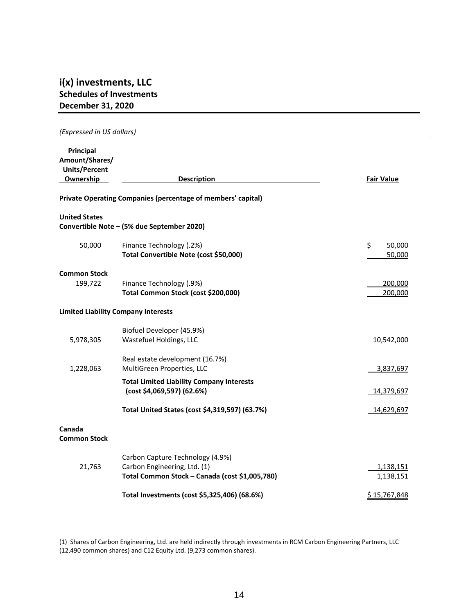# **i(x) investments, LLC Schedules of Investments December 31, 2020**

#### *(Expressed in US dollars)*

| Principal<br>Amount/Shares/<br><b>Units/Percent</b><br>Ownership | <b>Description</b>                                                             | <b>Fair Value</b>      |
|------------------------------------------------------------------|--------------------------------------------------------------------------------|------------------------|
|                                                                  | Private Operating Companies (percentage of members' capital)                   |                        |
| <b>United States</b>                                             |                                                                                |                        |
|                                                                  | Convertible Note - (5% due September 2020)                                     |                        |
| 50,000                                                           | Finance Technology (.2%)<br>Total Convertible Note (cost \$50,000)             | \$<br>50,000<br>50,000 |
| <b>Common Stock</b>                                              |                                                                                |                        |
| 199,722                                                          | Finance Technology (.9%)<br>Total Common Stock (cost \$200,000)                | 200,000<br>200,000     |
| <b>Limited Liability Company Interests</b>                       |                                                                                |                        |
|                                                                  | Biofuel Developer (45.9%)                                                      |                        |
| 5,978,305                                                        | Wastefuel Holdings, LLC                                                        | 10,542,000             |
|                                                                  | Real estate development (16.7%)                                                |                        |
| 1,228,063                                                        | MultiGreen Properties, LLC                                                     | 3,837,697              |
|                                                                  | <b>Total Limited Liability Company Interests</b><br>(cost \$4,069,597) (62.6%) | 14,379,697             |
|                                                                  | Total United States (cost \$4,319,597) (63.7%)                                 | 14,629,697             |
| Canada<br><b>Common Stock</b>                                    |                                                                                |                        |
|                                                                  | Carbon Capture Technology (4.9%)                                               |                        |
| 21,763                                                           | Carbon Engineering, Ltd. (1)                                                   | 1,138,151              |
|                                                                  | Total Common Stock - Canada (cost \$1,005,780)                                 | 1,138,151              |
|                                                                  | Total Investments (cost \$5,325,406) (68.6%)                                   | \$15,767,848           |

(1) Shares of Carbon Engineering, Ltd. are held indirectly through investments in RCM Carbon Engineering Partners, LLC (12,490 common shares) and C12 Equity Ltd. (9,273 common shares).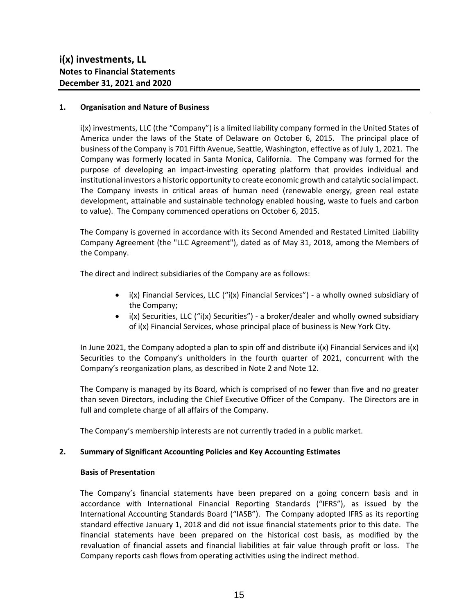#### **1. Organisation and Nature of Business**

i(x) investments, LLC (the "Company") is a limited liability company formed in the United States of America under the laws of the State of Delaware on October 6, 2015. The principal place of business of the Company is 701 Fifth Avenue, Seattle, Washington, effective as of July 1, 2021. The Company was formerly located in Santa Monica, California. The Company was formed for the purpose of developing an impact-investing operating platform that provides individual and institutional investors a historic opportunity to create economic growth and catalytic social impact. The Company invests in critical areas of human need (renewable energy, green real estate development, attainable and sustainable technology enabled housing, waste to fuels and carbon to value). The Company commenced operations on October 6, 2015.

The Company is governed in accordance with its Second Amended and Restated Limited Liability Company Agreement (the "LLC Agreement"), dated as of May 31, 2018, among the Members of the Company.

The direct and indirect subsidiaries of the Company are as follows:

- i(x) Financial Services, LLC ("i(x) Financial Services") a wholly owned subsidiary of the Company;
- $\bullet$  i(x) Securities, LLC ("i(x) Securities") a broker/dealer and wholly owned subsidiary of i(x) Financial Services, whose principal place of business is New York City.

In June 2021, the Company adopted a plan to spin off and distribute i(x) Financial Services and i(x) Securities to the Company's unitholders in the fourth quarter of 2021, concurrent with the Company's reorganization plans, as described in Note 2 and Note 12.

The Company is managed by its Board, which is comprised of no fewer than five and no greater than seven Directors, including the Chief Executive Officer of the Company. The Directors are in full and complete charge of all affairs of the Company.

The Company's membership interests are not currently traded in a public market.

# **2. Summary of Significant Accounting Policies and Key Accounting Estimates**

#### **Basis of Presentation**

The Company's financial statements have been prepared on a going concern basis and in accordance with International Financial Reporting Standards ("IFRS"), as issued by the International Accounting Standards Board ("IASB"). The Company adopted IFRS as its reporting standard effective January 1, 2018 and did not issue financial statements prior to this date. The financial statements have been prepared on the historical cost basis, as modified by the revaluation of financial assets and financial liabilities at fair value through profit or loss. The Company reports cash flows from operating activities using the indirect method.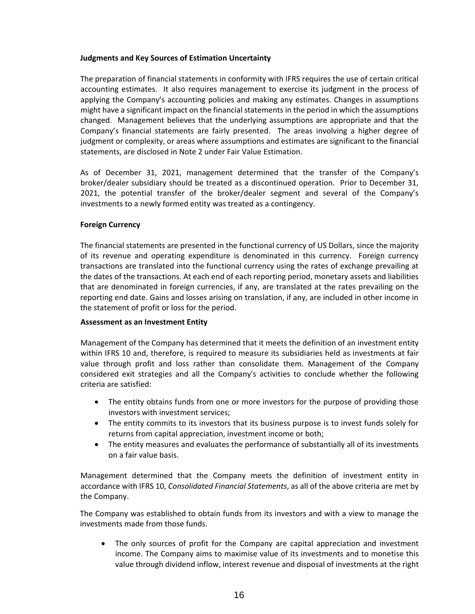# **Judgments and Key Sources of Estimation Uncertainty**

The preparation of financial statements in conformity with IFRS requires the use of certain critical accounting estimates. It also requires management to exercise its judgment in the process of applying the Company's accounting policies and making any estimates. Changes in assumptions might have a significant impact on the financial statements in the period in which the assumptions changed. Management believes that the underlying assumptions are appropriate and that the Company's financial statements are fairly presented. The areas involving a higher degree of judgment or complexity, or areas where assumptions and estimates are significant to the financial statements, are disclosed in Note 2 under Fair Value Estimation.

As of December 31, 2021, management determined that the transfer of the Company's broker/dealer subsidiary should be treated as a discontinued operation. Prior to December 31, 2021, the potential transfer of the broker/dealer segment and several of the Company's investments to a newly formed entity was treated as a contingency.

#### **Foreign Currency**

The financial statements are presented in the functional currency of US Dollars, since the majority of its revenue and operating expenditure is denominated in this currency. Foreign currency transactions are translated into the functional currency using the rates of exchange prevailing at the dates of the transactions. At each end of each reporting period, monetary assets and liabilities that are denominated in foreign currencies, if any, are translated at the rates prevailing on the reporting end date. Gains and losses arising on translation, if any, are included in other income in the statement of profit or loss for the period.

#### **Assessment as an Investment Entity**

Management of the Company has determined that it meets the definition of an investment entity within IFRS 10 and, therefore, is required to measure its subsidiaries held as investments at fair value through profit and loss rather than consolidate them. Management of the Company considered exit strategies and all the Company's activities to conclude whether the following criteria are satisfied:

- The entity obtains funds from one or more investors for the purpose of providing those investors with investment services;
- The entity commits to its investors that its business purpose is to invest funds solely for returns from capital appreciation, investment income or both;
- The entity measures and evaluates the performance of substantially all of its investments on a fair value basis.

Management determined that the Company meets the definition of investment entity in accordance with IFRS 10, *Consolidated Financial Statements*, as all of the above criteria are met by the Company.

The Company was established to obtain funds from its investors and with a view to manage the investments made from those funds.

 The only sources of profit for the Company are capital appreciation and investment income. The Company aims to maximise value of its investments and to monetise this value through dividend inflow, interest revenue and disposal of investments at the right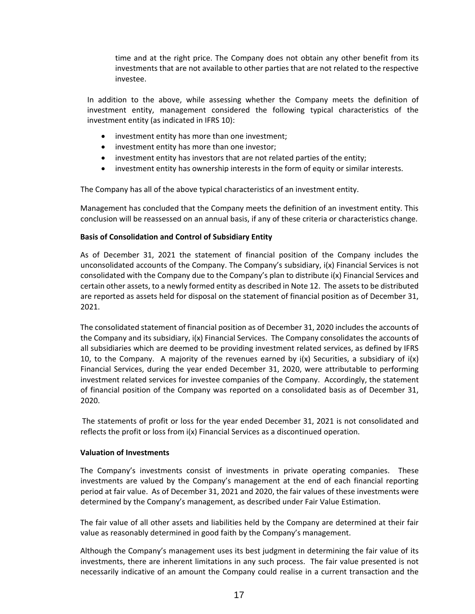time and at the right price. The Company does not obtain any other benefit from its investments that are not available to other parties that are not related to the respective investee.

In addition to the above, while assessing whether the Company meets the definition of investment entity, management considered the following typical characteristics of the investment entity (as indicated in IFRS 10):

- investment entity has more than one investment;
- investment entity has more than one investor;
- investment entity has investors that are not related parties of the entity;
- investment entity has ownership interests in the form of equity or similar interests.

The Company has all of the above typical characteristics of an investment entity.

Management has concluded that the Company meets the definition of an investment entity. This conclusion will be reassessed on an annual basis, if any of these criteria or characteristics change.

#### **Basis of Consolidation and Control of Subsidiary Entity**

As of December 31, 2021 the statement of financial position of the Company includes the unconsolidated accounts of the Company. The Company's subsidiary, i(x) Financial Services is not consolidated with the Company due to the Company's plan to distribute i(x) Financial Services and certain other assets, to a newly formed entity as described in Note 12. The assets to be distributed are reported as assets held for disposal on the statement of financial position as of December 31, 2021.

The consolidated statement of financial position as of December 31, 2020 includes the accounts of the Company and its subsidiary, i(x) Financial Services. The Company consolidates the accounts of all subsidiaries which are deemed to be providing investment related services, as defined by IFRS 10, to the Company. A majority of the revenues earned by  $i(x)$  Securities, a subsidiary of  $i(x)$ Financial Services, during the year ended December 31, 2020, were attributable to performing investment related services for investee companies of the Company. Accordingly, the statement of financial position of the Company was reported on a consolidated basis as of December 31, 2020.

The statements of profit or loss for the year ended December 31, 2021 is not consolidated and reflects the profit or loss from i(x) Financial Services as a discontinued operation.

#### **Valuation of Investments**

The Company's investments consist of investments in private operating companies. These investments are valued by the Company's management at the end of each financial reporting period at fair value. As of December 31, 2021 and 2020, the fair values of these investments were determined by the Company's management, as described under Fair Value Estimation.

The fair value of all other assets and liabilities held by the Company are determined at their fair value as reasonably determined in good faith by the Company's management.

Although the Company's management uses its best judgment in determining the fair value of its investments, there are inherent limitations in any such process. The fair value presented is not necessarily indicative of an amount the Company could realise in a current transaction and the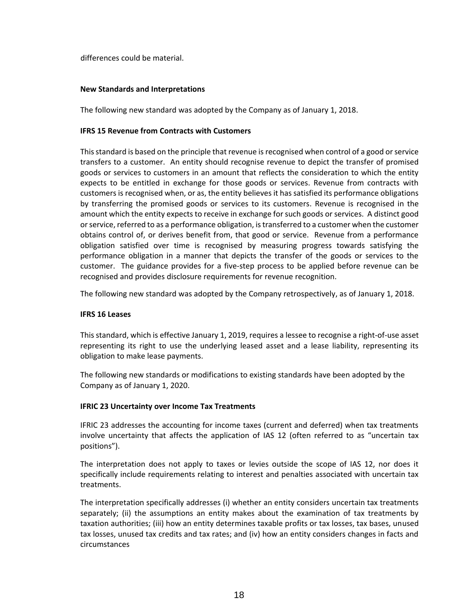differences could be material.

### **New Standards and Interpretations**

The following new standard was adopted by the Company as of January 1, 2018.

#### **IFRS 15 Revenue from Contracts with Customers**

This standard is based on the principle that revenue is recognised when control of a good or service transfers to a customer. An entity should recognise revenue to depict the transfer of promised goods or services to customers in an amount that reflects the consideration to which the entity expects to be entitled in exchange for those goods or services. Revenue from contracts with customers is recognised when, or as, the entity believes it has satisfied its performance obligations by transferring the promised goods or services to its customers. Revenue is recognised in the amount which the entity expects to receive in exchange for such goods or services. A distinct good or service, referred to as a performance obligation, is transferred to a customer when the customer obtains control of, or derives benefit from, that good or service. Revenue from a performance obligation satisfied over time is recognised by measuring progress towards satisfying the performance obligation in a manner that depicts the transfer of the goods or services to the customer. The guidance provides for a five-step process to be applied before revenue can be recognised and provides disclosure requirements for revenue recognition.

The following new standard was adopted by the Company retrospectively, as of January 1, 2018.

#### **IFRS 16 Leases**

This standard, which is effective January 1, 2019, requires a lessee to recognise a right-of-use asset representing its right to use the underlying leased asset and a lease liability, representing its obligation to make lease payments.

The following new standards or modifications to existing standards have been adopted by the Company as of January 1, 2020.

#### **IFRIC 23 Uncertainty over Income Tax Treatments**

IFRIC 23 addresses the accounting for income taxes (current and deferred) when tax treatments involve uncertainty that affects the application of IAS 12 (often referred to as "uncertain tax positions").

The interpretation does not apply to taxes or levies outside the scope of IAS 12, nor does it specifically include requirements relating to interest and penalties associated with uncertain tax treatments.

The interpretation specifically addresses (i) whether an entity considers uncertain tax treatments separately; (ii) the assumptions an entity makes about the examination of tax treatments by taxation authorities; (iii) how an entity determines taxable profits or tax losses, tax bases, unused tax losses, unused tax credits and tax rates; and (iv) how an entity considers changes in facts and circumstances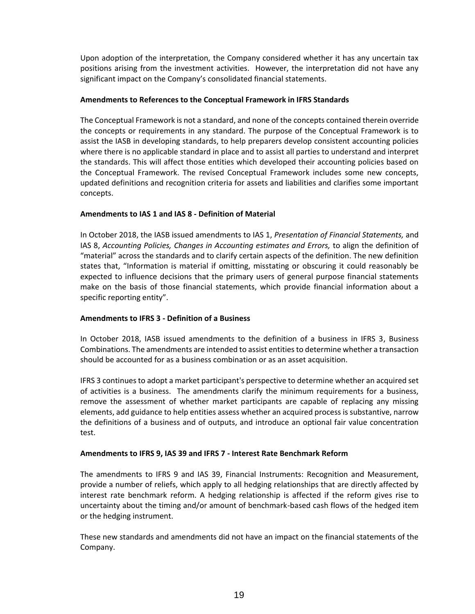Upon adoption of the interpretation, the Company considered whether it has any uncertain tax positions arising from the investment activities. However, the interpretation did not have any significant impact on the Company's consolidated financial statements.

### **Amendments to References to the Conceptual Framework in IFRS Standards**

The Conceptual Framework is not a standard, and none of the concepts contained therein override the concepts or requirements in any standard. The purpose of the Conceptual Framework is to assist the IASB in developing standards, to help preparers develop consistent accounting policies where there is no applicable standard in place and to assist all parties to understand and interpret the standards. This will affect those entities which developed their accounting policies based on the Conceptual Framework. The revised Conceptual Framework includes some new concepts, updated definitions and recognition criteria for assets and liabilities and clarifies some important concepts.

# **Amendments to IAS 1 and IAS 8 - Definition of Material**

In October 2018, the IASB issued amendments to IAS 1, *Presentation of Financial Statements,* and IAS 8, *Accounting Policies, Changes in Accounting estimates and Errors,* to align the definition of "material" across the standards and to clarify certain aspects of the definition. The new definition states that, "Information is material if omitting, misstating or obscuring it could reasonably be expected to influence decisions that the primary users of general purpose financial statements make on the basis of those financial statements, which provide financial information about a specific reporting entity".

# **Amendments to IFRS 3 - Definition of a Business**

In October 2018, IASB issued amendments to the definition of a business in IFRS 3, Business Combinations. The amendments are intended to assist entities to determine whether a transaction should be accounted for as a business combination or as an asset acquisition.

IFRS 3 continues to adopt a market participant's perspective to determine whether an acquired set of activities is a business. The amendments clarify the minimum requirements for a business, remove the assessment of whether market participants are capable of replacing any missing elements, add guidance to help entities assess whether an acquired process is substantive, narrow the definitions of a business and of outputs, and introduce an optional fair value concentration test.

# **Amendments to IFRS 9, IAS 39 and IFRS 7 - Interest Rate Benchmark Reform**

The amendments to IFRS 9 and IAS 39, Financial Instruments: Recognition and Measurement, provide a number of reliefs, which apply to all hedging relationships that are directly affected by interest rate benchmark reform. A hedging relationship is affected if the reform gives rise to uncertainty about the timing and/or amount of benchmark-based cash flows of the hedged item or the hedging instrument.

These new standards and amendments did not have an impact on the financial statements of the Company.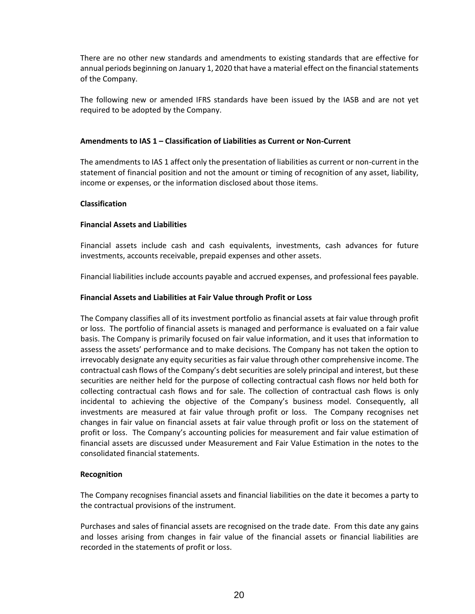There are no other new standards and amendments to existing standards that are effective for annual periods beginning on January 1, 2020 that have a material effect on the financial statements of the Company.

The following new or amended IFRS standards have been issued by the IASB and are not yet required to be adopted by the Company.

### **Amendments to IAS 1 – Classification of Liabilities as Current or Non-Current**

The amendments to IAS 1 affect only the presentation of liabilities as current or non-current in the statement of financial position and not the amount or timing of recognition of any asset, liability, income or expenses, or the information disclosed about those items.

#### **Classification**

#### **Financial Assets and Liabilities**

Financial assets include cash and cash equivalents, investments, cash advances for future investments, accounts receivable, prepaid expenses and other assets.

Financial liabilities include accounts payable and accrued expenses, and professional fees payable.

#### **Financial Assets and Liabilities at Fair Value through Profit or Loss**

The Company classifies all of its investment portfolio as financial assets at fair value through profit or loss. The portfolio of financial assets is managed and performance is evaluated on a fair value basis. The Company is primarily focused on fair value information, and it uses that information to assess the assets' performance and to make decisions. The Company has not taken the option to irrevocably designate any equity securities as fair value through other comprehensive income. The contractual cash flows of the Company's debt securities are solely principal and interest, but these securities are neither held for the purpose of collecting contractual cash flows nor held both for collecting contractual cash flows and for sale. The collection of contractual cash flows is only incidental to achieving the objective of the Company's business model. Consequently, all investments are measured at fair value through profit or loss. The Company recognises net changes in fair value on financial assets at fair value through profit or loss on the statement of profit or loss. The Company's accounting policies for measurement and fair value estimation of financial assets are discussed under Measurement and Fair Value Estimation in the notes to the consolidated financial statements.

#### **Recognition**

The Company recognises financial assets and financial liabilities on the date it becomes a party to the contractual provisions of the instrument.

Purchases and sales of financial assets are recognised on the trade date. From this date any gains and losses arising from changes in fair value of the financial assets or financial liabilities are recorded in the statements of profit or loss.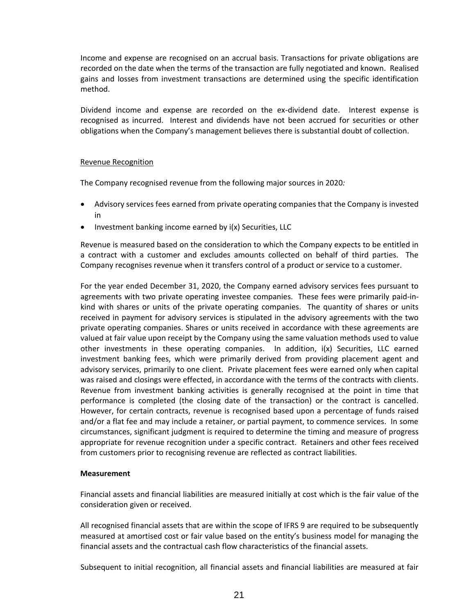Income and expense are recognised on an accrual basis. Transactions for private obligations are recorded on the date when the terms of the transaction are fully negotiated and known. Realised gains and losses from investment transactions are determined using the specific identification method.

Dividend income and expense are recorded on the ex-dividend date. Interest expense is recognised as incurred. Interest and dividends have not been accrued for securities or other obligations when the Company's management believes there is substantial doubt of collection.

### Revenue Recognition

The Company recognised revenue from the following major sources in 2020*:*

- Advisory services fees earned from private operating companies that the Company is invested in
- Investment banking income earned by i(x) Securities, LLC

Revenue is measured based on the consideration to which the Company expects to be entitled in a contract with a customer and excludes amounts collected on behalf of third parties. The Company recognises revenue when it transfers control of a product or service to a customer.

For the year ended December 31, 2020, the Company earned advisory services fees pursuant to agreements with two private operating investee companies. These fees were primarily paid-inkind with shares or units of the private operating companies. The quantity of shares or units received in payment for advisory services is stipulated in the advisory agreements with the two private operating companies. Shares or units received in accordance with these agreements are valued at fair value upon receipt by the Company using the same valuation methods used to value other investments in these operating companies. In addition, i(x) Securities, LLC earned investment banking fees, which were primarily derived from providing placement agent and advisory services, primarily to one client. Private placement fees were earned only when capital was raised and closings were effected, in accordance with the terms of the contracts with clients. Revenue from investment banking activities is generally recognised at the point in time that performance is completed (the closing date of the transaction) or the contract is cancelled. However, for certain contracts, revenue is recognised based upon a percentage of funds raised and/or a flat fee and may include a retainer, or partial payment, to commence services. In some circumstances, significant judgment is required to determine the timing and measure of progress appropriate for revenue recognition under a specific contract. Retainers and other fees received from customers prior to recognising revenue are reflected as contract liabilities.

# **Measurement**

Financial assets and financial liabilities are measured initially at cost which is the fair value of the consideration given or received.

All recognised financial assets that are within the scope of IFRS 9 are required to be subsequently measured at amortised cost or fair value based on the entity's business model for managing the financial assets and the contractual cash flow characteristics of the financial assets.

Subsequent to initial recognition, all financial assets and financial liabilities are measured at fair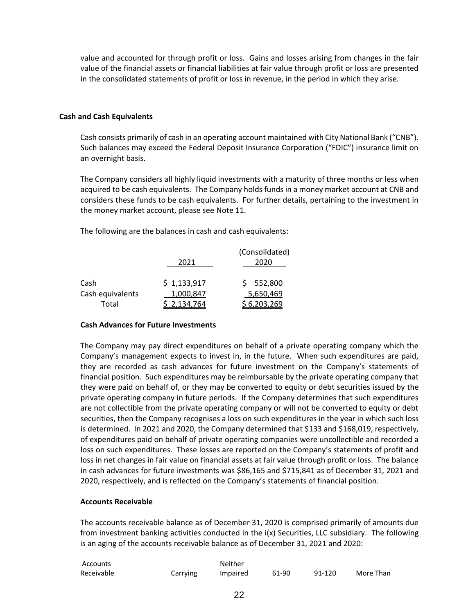value and accounted for through profit or loss. Gains and losses arising from changes in the fair value of the financial assets or financial liabilities at fair value through profit or loss are presented in the consolidated statements of profit or loss in revenue, in the period in which they arise.

#### **Cash and Cash Equivalents**

Cash consists primarily of cash in an operating account maintained with City National Bank ("CNB"). Such balances may exceed the Federal Deposit Insurance Corporation ("FDIC") insurance limit on an overnight basis.

The Company considers all highly liquid investments with a maturity of three months or less when acquired to be cash equivalents. The Company holds funds in a money market account at CNB and considers these funds to be cash equivalents. For further details, pertaining to the investment in the money market account, please see Note 11.

The following are the balances in cash and cash equivalents:

|                  |             | (Consolidated) |
|------------------|-------------|----------------|
|                  | 2021        | 2020           |
| Cash             | \$1,133,917 | \$552,800      |
| Cash equivalents | 1,000,847   | 5,650,469      |
| Total            | 2.134.764   | 6,203,269      |

#### **Cash Advances for Future Investments**

The Company may pay direct expenditures on behalf of a private operating company which the Company's management expects to invest in, in the future. When such expenditures are paid, they are recorded as cash advances for future investment on the Company's statements of financial position. Such expenditures may be reimbursable by the private operating company that they were paid on behalf of, or they may be converted to equity or debt securities issued by the private operating company in future periods. If the Company determines that such expenditures are not collectible from the private operating company or will not be converted to equity or debt securities, then the Company recognises a loss on such expenditures in the year in which such loss is determined. In 2021 and 2020, the Company determined that \$133 and \$168,019, respectively, of expenditures paid on behalf of private operating companies were uncollectible and recorded a loss on such expenditures. These losses are reported on the Company's statements of profit and loss in net changes in fair value on financial assets at fair value through profit or loss. The balance in cash advances for future investments was \$86,165 and \$715,841 as of December 31, 2021 and 2020, respectively, and is reflected on the Company's statements of financial position.

#### **Accounts Receivable**

The accounts receivable balance as of December 31, 2020 is comprised primarily of amounts due from investment banking activities conducted in the i(x) Securities, LLC subsidiary. The following is an aging of the accounts receivable balance as of December 31, 2021 and 2020:

| Accounts   |          | Neither  |       |        |           |
|------------|----------|----------|-------|--------|-----------|
| Receivable | Carrying | Impaired | 61-90 | 91-120 | More Than |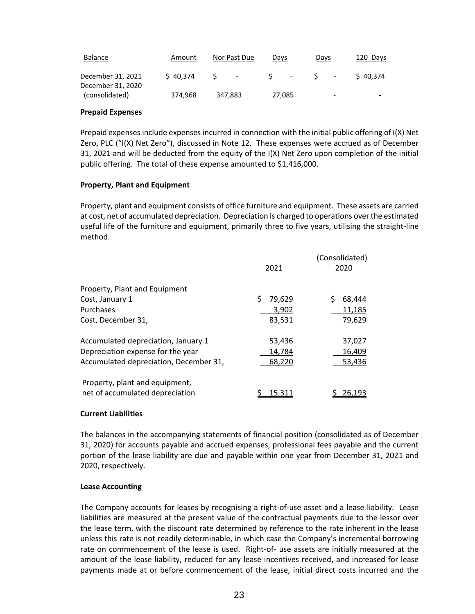| Balance                                | Amount   | Nor Past Due | Days             | Days                         | 120 Days |
|----------------------------------------|----------|--------------|------------------|------------------------------|----------|
| December 31, 2021<br>December 31, 2020 | \$40.374 | $\sim$       | $\sim$<br>$\sim$ | $\overline{\phantom{a}}$     | \$40.374 |
| (consolidated)                         | 374,968  | 347.883      | 27,085           | $\qquad \qquad \blacksquare$ | -        |

#### **Prepaid Expenses**

Prepaid expenses include expenses incurred in connection with the initial public offering of I(X) Net Zero, PLC ("I(X) Net Zero"), discussed in Note 12. These expenses were accrued as of December 31, 2021 and will be deducted from the equity of the I(X) Net Zero upon completion of the initial public offering. The total of these expense amounted to \$1,416,000.

#### **Property, Plant and Equipment**

Property, plant and equipment consists of office furniture and equipment. These assets are carried at cost, net of accumulated depreciation. Depreciation is charged to operations over the estimated useful life of the furniture and equipment, primarily three to five years, utilising the straight-line method.

|                                                                                                                    | 2021                       | (Consolidated)<br>2020     |
|--------------------------------------------------------------------------------------------------------------------|----------------------------|----------------------------|
| Property, Plant and Equipment<br>Cost, January 1<br>Purchases                                                      | Ś<br>79,629<br>3,902       | 68.444<br>11,185           |
| Cost, December 31,                                                                                                 | 83,531                     | 79,629                     |
| Accumulated depreciation, January 1<br>Depreciation expense for the year<br>Accumulated depreciation, December 31, | 53,436<br>14,784<br>68,220 | 37,027<br>16,409<br>53,436 |
| Property, plant and equipment,<br>net of accumulated depreciation                                                  | 15.31:                     | 26.193                     |

# **Current Liabilities**

The balances in the accompanying statements of financial position (consolidated as of December 31, 2020) for accounts payable and accrued expenses, professional fees payable and the current portion of the lease liability are due and payable within one year from December 31, 2021 and 2020, respectively.

#### **Lease Accounting**

The Company accounts for leases by recognising a right-of-use asset and a lease liability. Lease liabilities are measured at the present value of the contractual payments due to the lessor over the lease term, with the discount rate determined by reference to the rate inherent in the lease unless this rate is not readily determinable, in which case the Company's incremental borrowing rate on commencement of the lease is used. Right-of- use assets are initially measured at the amount of the lease liability, reduced for any lease incentives received, and increased for lease payments made at or before commencement of the lease, initial direct costs incurred and the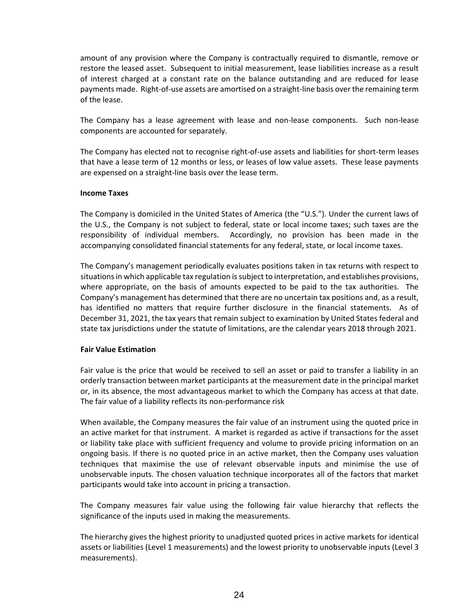amount of any provision where the Company is contractually required to dismantle, remove or restore the leased asset. Subsequent to initial measurement, lease liabilities increase as a result of interest charged at a constant rate on the balance outstanding and are reduced for lease payments made. Right-of-use assets are amortised on a straight-line basis over the remaining term of the lease.

The Company has a lease agreement with lease and non-lease components. Such non-lease components are accounted for separately.

The Company has elected not to recognise right-of-use assets and liabilities for short-term leases that have a lease term of 12 months or less, or leases of low value assets. These lease payments are expensed on a straight-line basis over the lease term.

#### **Income Taxes**

The Company is domiciled in the United States of America (the "U.S."). Under the current laws of the U.S., the Company is not subject to federal, state or local income taxes; such taxes are the responsibility of individual members. Accordingly, no provision has been made in the accompanying consolidated financial statements for any federal, state, or local income taxes.

The Company's management periodically evaluates positions taken in tax returns with respect to situations in which applicable tax regulation is subject to interpretation, and establishes provisions, where appropriate, on the basis of amounts expected to be paid to the tax authorities. The Company's management has determined that there are no uncertain tax positions and, as a result, has identified no matters that require further disclosure in the financial statements. As of December 31, 2021, the tax years that remain subject to examination by United States federal and state tax jurisdictions under the statute of limitations, are the calendar years 2018 through 2021.

#### **Fair Value Estimation**

Fair value is the price that would be received to sell an asset or paid to transfer a liability in an orderly transaction between market participants at the measurement date in the principal market or, in its absence, the most advantageous market to which the Company has access at that date. The fair value of a liability reflects its non-performance risk

When available, the Company measures the fair value of an instrument using the quoted price in an active market for that instrument. A market is regarded as active if transactions for the asset or liability take place with sufficient frequency and volume to provide pricing information on an ongoing basis. If there is no quoted price in an active market, then the Company uses valuation techniques that maximise the use of relevant observable inputs and minimise the use of unobservable inputs. The chosen valuation technique incorporates all of the factors that market participants would take into account in pricing a transaction.

The Company measures fair value using the following fair value hierarchy that reflects the significance of the inputs used in making the measurements.

The hierarchy gives the highest priority to unadjusted quoted prices in active markets for identical assets or liabilities (Level 1 measurements) and the lowest priority to unobservable inputs (Level 3 measurements).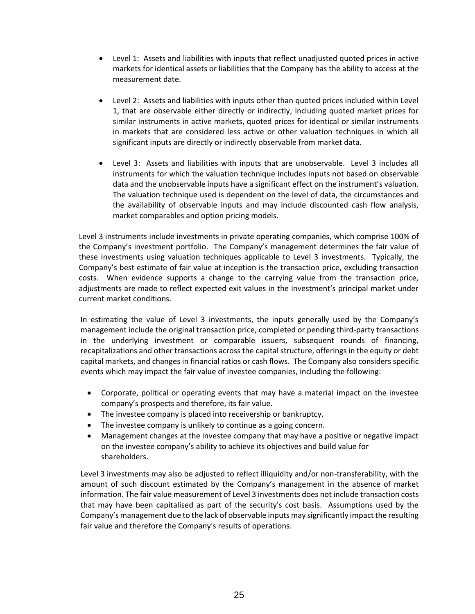- Level 1: Assets and liabilities with inputs that reflect unadjusted quoted prices in active markets for identical assets or liabilities that the Company has the ability to access at the measurement date.
- Level 2: Assets and liabilities with inputs other than quoted prices included within Level 1, that are observable either directly or indirectly, including quoted market prices for similar instruments in active markets, quoted prices for identical or similar instruments in markets that are considered less active or other valuation techniques in which all significant inputs are directly or indirectly observable from market data.
- Level 3: Assets and liabilities with inputs that are unobservable. Level 3 includes all instruments for which the valuation technique includes inputs not based on observable data and the unobservable inputs have a significant effect on the instrument's valuation. The valuation technique used is dependent on the level of data, the circumstances and the availability of observable inputs and may include discounted cash flow analysis, market comparables and option pricing models.

Level 3 instruments include investments in private operating companies, which comprise 100% of the Company's investment portfolio. The Company's management determines the fair value of these investments using valuation techniques applicable to Level 3 investments. Typically, the Company's best estimate of fair value at inception is the transaction price, excluding transaction costs. When evidence supports a change to the carrying value from the transaction price, adjustments are made to reflect expected exit values in the investment's principal market under current market conditions.

In estimating the value of Level 3 investments, the inputs generally used by the Company's management include the original transaction price, completed or pending third-party transactions in the underlying investment or comparable issuers, subsequent rounds of financing, recapitalizations and other transactions across the capital structure, offerings in the equity or debt capital markets, and changes in financial ratios or cash flows. The Company also considers specific events which may impact the fair value of investee companies, including the following:

- Corporate, political or operating events that may have a material impact on the investee company's prospects and therefore, its fair value.
- The investee company is placed into receivership or bankruptcy.
- The investee company is unlikely to continue as a going concern.
- Management changes at the investee company that may have a positive or negative impact on the investee company's ability to achieve its objectives and build value for shareholders.

Level 3 investments may also be adjusted to reflect illiquidity and/or non-transferability, with the amount of such discount estimated by the Company's management in the absence of market information. The fair value measurement of Level 3 investments does not include transaction costs that may have been capitalised as part of the security's cost basis. Assumptions used by the Company's management due to the lack of observable inputs may significantly impact the resulting fair value and therefore the Company's results of operations.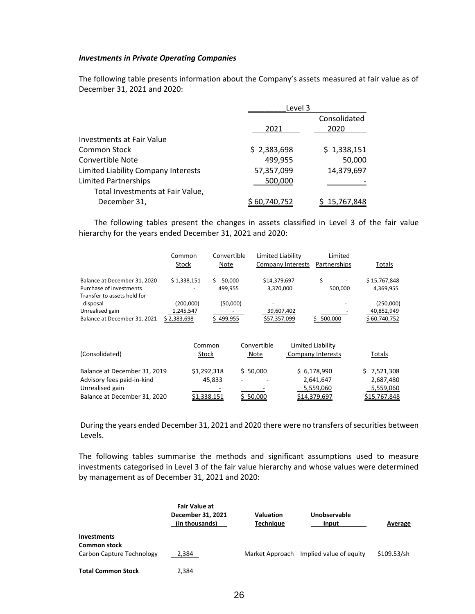#### *Investments in Private Operating Companies*

The following table presents information about the Company's assets measured at fair value as of December 31, 2021 and 2020:

|                                     | Level 3     |              |
|-------------------------------------|-------------|--------------|
|                                     |             | Consolidated |
|                                     | 2021        | 2020         |
| Investments at Fair Value           |             |              |
| Common Stock                        | \$2,383,698 | \$1,338,151  |
| <b>Convertible Note</b>             | 499,955     | 50,000       |
| Limited Liability Company Interests | 57,357,099  | 14,379,697   |
| <b>Limited Partnerships</b>         | 500,000     |              |
| Total Investments at Fair Value,    |             |              |
| December 31,                        | 60.740.752  | 15,767,848   |

The following tables present the changes in assets classified in Level 3 of the fair value hierarchy for the years ended December 31, 2021 and 2020:

|                                                                                        | Common<br>Stock    | Convertible<br>Note    | Limited Liability   | Company Interests | Limited<br>Partnerships | Totals                    |
|----------------------------------------------------------------------------------------|--------------------|------------------------|---------------------|-------------------|-------------------------|---------------------------|
| Balance at December 31, 2020<br>Purchase of investments<br>Transfer to assets held for | \$1,338,151        | 50,000<br>S<br>499,955 | \$14,379,697        | 3,370,000         | \$<br>500,000           | \$15,767,848<br>4,369,955 |
| disposal                                                                               | (200,000)          | (50,000)               |                     |                   |                         | (250,000)                 |
| Unrealised gain                                                                        | 1,245,547          |                        |                     | 39,607,402        |                         | 40,852,949                |
| Balance at December 31, 2021                                                           | <u>\$2,383,698</u> | 499,955                | <u>\$57,357,099</u> |                   | \$500,000               | \$60,740,752              |
|                                                                                        |                    |                        |                     |                   |                         |                           |
|                                                                                        | Common             |                        | Convertible         |                   | Limited Liability       |                           |
| (Consolidated)                                                                         | Stock              |                        | Note                |                   | Company Interests       | Totals                    |
| Balance at December 31, 2019                                                           | \$1,292,318        |                        | \$50,000            |                   | \$6,178,990             | 7,521,308                 |
| Advisory fees paid-in-kind                                                             |                    | 45,833                 |                     |                   | 2,641,647               | 2,687,480                 |
| Unrealised gain                                                                        |                    |                        |                     |                   | 5,559,060               | 5,559,060                 |
| Balance at December 31, 2020                                                           | \$1,338,151        |                        | 50,000              |                   | \$14,379,697            | \$15,767,848              |

During the years ended December 31, 2021 and 2020 there were no transfers of securities between Levels.

The following tables summarise the methods and significant assumptions used to measure investments categorised in Level 3 of the fair value hierarchy and whose values were determined by management as of December 31, 2021 and 2020:

|                                                                 | <b>Fair Value at</b><br>December 31, 2021<br>(in thousands) | <b>Valuation</b><br><b>Technique</b> | Unobservable<br>Input                   | Average     |
|-----------------------------------------------------------------|-------------------------------------------------------------|--------------------------------------|-----------------------------------------|-------------|
| Investments<br><b>Common stock</b><br>Carbon Capture Technology | 2.384                                                       |                                      | Market Approach Implied value of equity | \$109.53/sh |
| <b>Total Common Stock</b>                                       | 2,384                                                       |                                      |                                         |             |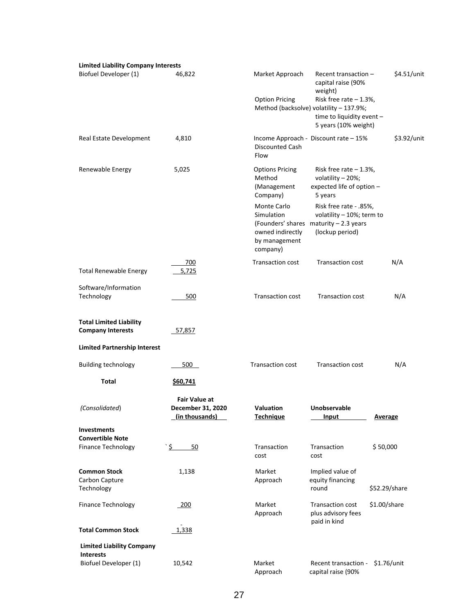| <b>Limited Liability Company Interests</b>                                 |                                                             |                                                                            |                                                                                                                          |                |
|----------------------------------------------------------------------------|-------------------------------------------------------------|----------------------------------------------------------------------------|--------------------------------------------------------------------------------------------------------------------------|----------------|
| Biofuel Developer (1)                                                      | 46,822                                                      | Market Approach                                                            | Recent transaction $-$<br>capital raise (90%<br>weight)                                                                  | \$4.51/unit    |
|                                                                            |                                                             | <b>Option Pricing</b>                                                      | Risk free rate $-1.3%$ ,<br>Method (backsolve) volatility - 137.9%;<br>time to liquidity event -<br>5 years (10% weight) |                |
| Real Estate Development                                                    | 4,810                                                       | <b>Discounted Cash</b><br>Flow                                             | Income Approach - Discount rate - 15%                                                                                    | \$3.92/unit    |
| Renewable Energy                                                           | 5,025                                                       | <b>Options Pricing</b><br>Method<br>(Management<br>Company)                | Risk free rate $-1.3%$ ,<br>volatility - 20%;<br>expected life of option -<br>5 years                                    |                |
|                                                                            |                                                             | Monte Carlo<br>Simulation<br>owned indirectly<br>by management<br>company) | Risk free rate - .85%,<br>volatility $-10\%$ ; term to<br>(Founders' shares maturity - 2.3 years<br>(lockup period)      |                |
| <b>Total Renewable Energy</b>                                              | 700<br>5,725                                                | <b>Transaction cost</b>                                                    | <b>Transaction cost</b>                                                                                                  | N/A            |
| Software/Information<br>Technology                                         | 500                                                         | <b>Transaction cost</b>                                                    | <b>Transaction cost</b>                                                                                                  | N/A            |
| <b>Total Limited Liability</b><br><b>Company Interests</b>                 | 57,857                                                      |                                                                            |                                                                                                                          |                |
| <b>Limited Partnership Interest</b>                                        |                                                             |                                                                            |                                                                                                                          |                |
| <b>Building technology</b>                                                 | 500                                                         | <b>Transaction cost</b>                                                    | <b>Transaction cost</b>                                                                                                  | N/A            |
| Total                                                                      | \$60,741                                                    |                                                                            |                                                                                                                          |                |
| (Consolidated)                                                             | <b>Fair Value at</b><br>December 31, 2020<br>(in thousands) | Valuation<br><b>Technique</b>                                              | Unobservable<br>Input                                                                                                    | <b>Average</b> |
| <b>Investments</b><br><b>Convertible Note</b><br><b>Finance Technology</b> | <u>ځ</u><br>50                                              | Transaction<br>cost                                                        | Transaction<br>cost                                                                                                      | \$50,000       |
| <b>Common Stock</b><br>Carbon Capture<br>Technology                        | 1,138                                                       | Market<br>Approach                                                         | Implied value of<br>equity financing<br>round                                                                            | \$52.29/share  |
| <b>Finance Technology</b>                                                  | 200                                                         | Market<br>Approach                                                         | <b>Transaction cost</b><br>plus advisory fees                                                                            | \$1.00/share   |
| <b>Total Common Stock</b>                                                  | 1,338                                                       |                                                                            | paid in kind                                                                                                             |                |
| <b>Limited Liability Company</b>                                           |                                                             |                                                                            |                                                                                                                          |                |
| <b>Interests</b><br>Biofuel Developer (1)                                  | 10,542                                                      | Market<br>Approach                                                         | Recent transaction -<br>capital raise (90%                                                                               | \$1.76/unit    |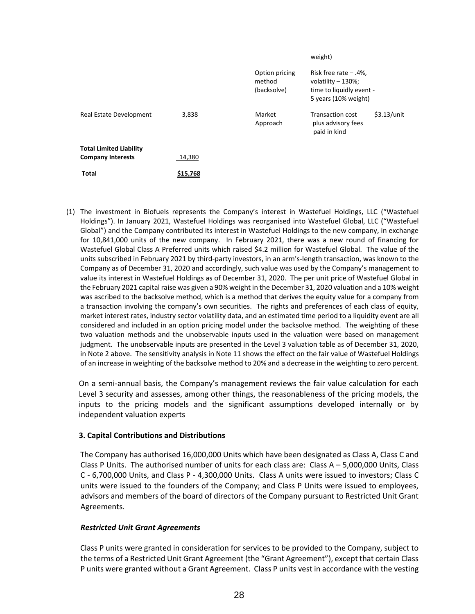|                                                            |          |                                         | weight)                                                                                              |               |
|------------------------------------------------------------|----------|-----------------------------------------|------------------------------------------------------------------------------------------------------|---------------|
|                                                            |          | Option pricing<br>method<br>(backsolve) | Risk free rate $-$ .4%,<br>volatility $-130\%$ ;<br>time to liquidly event -<br>5 years (10% weight) |               |
| Real Estate Development                                    | 3,838    | Market<br>Approach                      | <b>Transaction cost</b><br>plus advisory fees<br>paid in kind                                        | $$3.13/$ unit |
| <b>Total Limited Liability</b><br><b>Company Interests</b> | 14,380   |                                         |                                                                                                      |               |
|                                                            |          |                                         |                                                                                                      |               |
| Total                                                      | \$15,768 |                                         |                                                                                                      |               |

(1) The investment in Biofuels represents the Company's interest in Wastefuel Holdings, LLC ("Wastefuel Holdings"). In January 2021, Wastefuel Holdings was reorganised into Wastefuel Global, LLC ("Wastefuel Global") and the Company contributed its interest in Wastefuel Holdings to the new company, in exchange for 10,841,000 units of the new company. In February 2021, there was a new round of financing for Wastefuel Global Class A Preferred units which raised \$4.2 million for Wastefuel Global. The value of the units subscribed in February 2021 by third-party investors, in an arm's-length transaction, was known to the Company as of December 31, 2020 and accordingly, such value was used by the Company's management to value its interest in Wastefuel Holdings as of December 31, 2020. The per unit price of Wastefuel Global in the February 2021 capital raise was given a 90% weight in the December 31, 2020 valuation and a 10% weight was ascribed to the backsolve method, which is a method that derives the equity value for a company from a transaction involving the company's own securities. The rights and preferences of each class of equity, market interest rates, industry sector volatility data, and an estimated time period to a liquidity event are all considered and included in an option pricing model under the backsolve method. The weighting of these two valuation methods and the unobservable inputs used in the valuation were based on management judgment. The unobservable inputs are presented in the Level 3 valuation table as of December 31, 2020, in Note 2 above. The sensitivity analysis in Note 11 shows the effect on the fair value of Wastefuel Holdings of an increase in weighting of the backsolve method to 20% and a decrease in the weighting to zero percent.

On a semi-annual basis, the Company's management reviews the fair value calculation for each Level 3 security and assesses, among other things, the reasonableness of the pricing models, the inputs to the pricing models and the significant assumptions developed internally or by independent valuation experts

# **3. Capital Contributions and Distributions**

The Company has authorised 16,000,000 Units which have been designated as Class A, Class C and Class P Units. The authorised number of units for each class are: Class A – 5,000,000 Units, Class C - 6,700,000 Units, and Class P - 4,300,000 Units. Class A units were issued to investors; Class C units were issued to the founders of the Company; and Class P Units were issued to employees, advisors and members of the board of directors of the Company pursuant to Restricted Unit Grant Agreements.

# *Restricted Unit Grant Agreements*

Class P units were granted in consideration for services to be provided to the Company, subject to the terms of a Restricted Unit Grant Agreement (the "Grant Agreement"), except that certain Class P units were granted without a Grant Agreement. Class P units vest in accordance with the vesting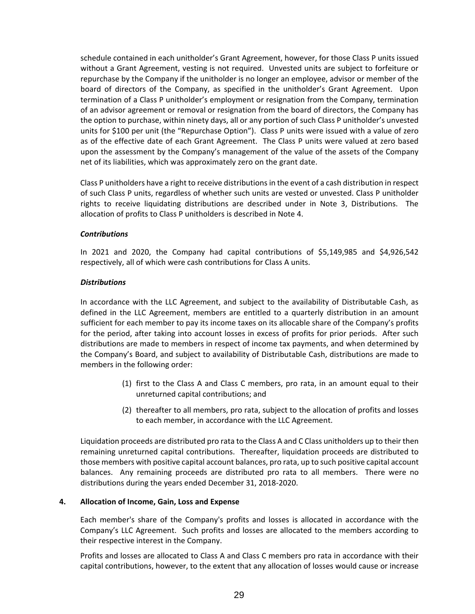schedule contained in each unitholder's Grant Agreement, however, for those Class P units issued without a Grant Agreement, vesting is not required. Unvested units are subject to forfeiture or repurchase by the Company if the unitholder is no longer an employee, advisor or member of the board of directors of the Company, as specified in the unitholder's Grant Agreement. Upon termination of a Class P unitholder's employment or resignation from the Company, termination of an advisor agreement or removal or resignation from the board of directors, the Company has the option to purchase, within ninety days, all or any portion of such Class P unitholder's unvested units for \$100 per unit (the "Repurchase Option"). Class P units were issued with a value of zero as of the effective date of each Grant Agreement. The Class P units were valued at zero based upon the assessment by the Company's management of the value of the assets of the Company net of its liabilities, which was approximately zero on the grant date.

Class P unitholders have a right to receive distributions in the event of a cash distribution in respect of such Class P units, regardless of whether such units are vested or unvested. Class P unitholder rights to receive liquidating distributions are described under in Note 3, Distributions. The allocation of profits to Class P unitholders is described in Note 4.

#### *Contributions*

In 2021 and 2020, the Company had capital contributions of \$5,149,985 and \$4,926,542 respectively, all of which were cash contributions for Class A units.

#### *Distributions*

In accordance with the LLC Agreement, and subject to the availability of Distributable Cash, as defined in the LLC Agreement, members are entitled to a quarterly distribution in an amount sufficient for each member to pay its income taxes on its allocable share of the Company's profits for the period, after taking into account losses in excess of profits for prior periods. After such distributions are made to members in respect of income tax payments, and when determined by the Company's Board, and subject to availability of Distributable Cash, distributions are made to members in the following order:

- (1) first to the Class A and Class C members, pro rata, in an amount equal to their unreturned capital contributions; and
- (2) thereafter to all members, pro rata, subject to the allocation of profits and losses to each member, in accordance with the LLC Agreement.

Liquidation proceeds are distributed pro rata to the Class A and C Class unitholders up to their then remaining unreturned capital contributions. Thereafter, liquidation proceeds are distributed to those members with positive capital account balances, pro rata, up to such positive capital account balances. Any remaining proceeds are distributed pro rata to all members. There were no distributions during the years ended December 31, 2018-2020.

# **4. Allocation of Income, Gain, Loss and Expense**

Each member's share of the Company's profits and losses is allocated in accordance with the Company's LLC Agreement. Such profits and losses are allocated to the members according to their respective interest in the Company.

Profits and losses are allocated to Class A and Class C members pro rata in accordance with their capital contributions, however, to the extent that any allocation of losses would cause or increase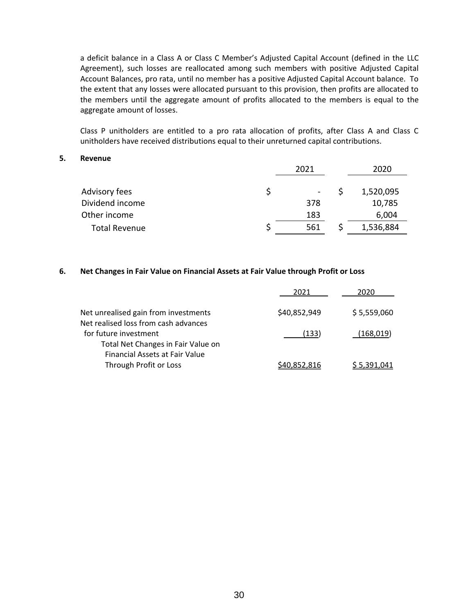a deficit balance in a Class A or Class C Member's Adjusted Capital Account (defined in the LLC Agreement), such losses are reallocated among such members with positive Adjusted Capital Account Balances, pro rata, until no member has a positive Adjusted Capital Account balance. To the extent that any losses were allocated pursuant to this provision, then profits are allocated to the members until the aggregate amount of profits allocated to the members is equal to the aggregate amount of losses.

Class P unitholders are entitled to a pro rata allocation of profits, after Class A and Class C unitholders have received distributions equal to their unreturned capital contributions.

#### **5. Revenue**

|                      | 2021                     | 2020      |
|----------------------|--------------------------|-----------|
| Advisory fees        | $\overline{\phantom{a}}$ | 1,520,095 |
| Dividend income      | 378                      | 10,785    |
| Other income         | 183                      | 6,004     |
| <b>Total Revenue</b> | 561                      | 1,536,884 |

#### **6. Net Changes in Fair Value on Financial Assets at Fair Value through Profit or Loss**

|                                       | 2021         | 2020        |
|---------------------------------------|--------------|-------------|
| Net unrealised gain from investments  | \$40,852,949 | \$5,559,060 |
| Net realised loss from cash advances  |              |             |
| for future investment                 | (133)        | (168, 019)  |
| Total Net Changes in Fair Value on    |              |             |
| <b>Financial Assets at Fair Value</b> |              |             |
| Through Profit or Loss                | \$40,852,816 | \$5,391,041 |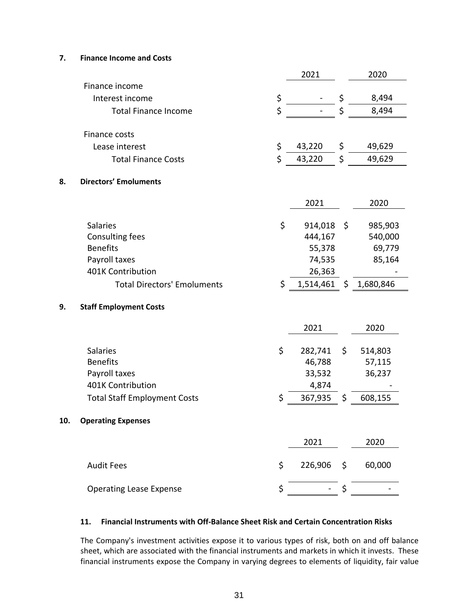# **7. Finance Income and Costs**

|     |                                     | 2021            | 2020            |
|-----|-------------------------------------|-----------------|-----------------|
|     | Finance income                      |                 |                 |
|     | Interest income                     | \$              | \$<br>8,494     |
|     | <b>Total Finance Income</b>         | \$              | \$<br>8,494     |
|     | Finance costs                       |                 |                 |
|     | Lease interest                      | \$<br>43,220    | \$<br>49,629    |
|     |                                     |                 |                 |
|     | <b>Total Finance Costs</b>          | \$<br>43,220    | \$<br>49,629    |
| 8.  | <b>Directors' Emoluments</b>        |                 |                 |
|     |                                     | 2021            | 2020            |
|     | <b>Salaries</b>                     | \$<br>914,018   | \$<br>985,903   |
|     | <b>Consulting fees</b>              | 444,167         | 540,000         |
|     | <b>Benefits</b>                     | 55,378          | 69,779          |
|     | Payroll taxes                       | 74,535          | 85,164          |
|     | 401K Contribution                   | 26,363          |                 |
|     | <b>Total Directors' Emoluments</b>  | \$<br>1,514,461 | \$<br>1,680,846 |
| 9.  | <b>Staff Employment Costs</b>       |                 |                 |
|     |                                     | 2021            | 2020            |
|     | Salaries                            | \$<br>282,741   | \$<br>514,803   |
|     | <b>Benefits</b>                     | 46,788          | 57,115          |
|     | Payroll taxes                       | 33,532          | 36,237          |
|     | 401K Contribution                   | 4,874           |                 |
|     | <b>Total Staff Employment Costs</b> | \$<br>367,935   | \$<br>608,155   |
| 10. | <b>Operating Expenses</b>           |                 |                 |
|     |                                     | 2021            | 2020            |
|     | <b>Audit Fees</b>                   | \$<br>226,906   | \$<br>60,000    |
|     | <b>Operating Lease Expense</b>      | \$              | \$              |
|     |                                     |                 |                 |

#### **11. Financial Instruments with Off-Balance Sheet Risk and Certain Concentration Risks**

The Company's investment activities expose it to various types of risk, both on and off balance sheet, which are associated with the financial instruments and markets in which it invests. These financial instruments expose the Company in varying degrees to elements of liquidity, fair value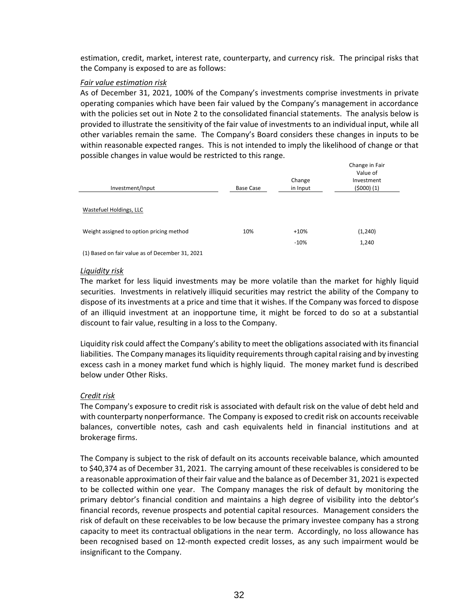estimation, credit, market, interest rate, counterparty, and currency risk. The principal risks that the Company is exposed to are as follows:

### *Fair value estimation risk*

As of December 31, 2021, 100% of the Company's investments comprise investments in private operating companies which have been fair valued by the Company's management in accordance with the policies set out in Note 2 to the consolidated financial statements. The analysis below is provided to illustrate the sensitivity of the fair value of investments to an individual input, while all other variables remain the same. The Company's Board considers these changes in inputs to be within reasonable expected ranges. This is not intended to imply the likelihood of change or that possible changes in value would be restricted to this range.

| Investment/Input                                                                                                                                                                                                                | Base Case | Change<br>in Input | Change in Fair<br>Value of<br>Investment<br>(5000)(1) |
|---------------------------------------------------------------------------------------------------------------------------------------------------------------------------------------------------------------------------------|-----------|--------------------|-------------------------------------------------------|
|                                                                                                                                                                                                                                 |           |                    |                                                       |
| Wastefuel Holdings, LLC                                                                                                                                                                                                         |           |                    |                                                       |
| Weight assigned to option pricing method                                                                                                                                                                                        | 10%       | $+10%$             | (1,240)                                               |
| $\sim$ . The contract of the contract of the contract of the contract of the contract of the contract of the contract of the contract of the contract of the contract of the contract of the contract of the contract of the co |           | $-10%$             | 1,240                                                 |

(1) Based on fair value as of December 31, 2021

#### *Liquidity risk*

The market for less liquid investments may be more volatile than the market for highly liquid securities. Investments in relatively illiquid securities may restrict the ability of the Company to dispose of its investments at a price and time that it wishes. If the Company was forced to dispose of an illiquid investment at an inopportune time, it might be forced to do so at a substantial discount to fair value, resulting in a loss to the Company.

Liquidity risk could affect the Company's ability to meet the obligations associated with its financial liabilities. The Company manages its liquidity requirements through capital raising and by investing excess cash in a money market fund which is highly liquid. The money market fund is described below under Other Risks.

# *Credit risk*

The Company's exposure to credit risk is associated with default risk on the value of debt held and with counterparty nonperformance. The Company is exposed to credit risk on accounts receivable balances, convertible notes, cash and cash equivalents held in financial institutions and at brokerage firms.

The Company is subject to the risk of default on its accounts receivable balance, which amounted to \$40,374 as of December 31, 2021. The carrying amount of these receivables is considered to be a reasonable approximation of their fair value and the balance as of December 31, 2021 is expected to be collected within one year. The Company manages the risk of default by monitoring the primary debtor's financial condition and maintains a high degree of visibility into the debtor's financial records, revenue prospects and potential capital resources. Management considers the risk of default on these receivables to be low because the primary investee company has a strong capacity to meet its contractual obligations in the near term. Accordingly, no loss allowance has been recognised based on 12-month expected credit losses, as any such impairment would be insignificant to the Company.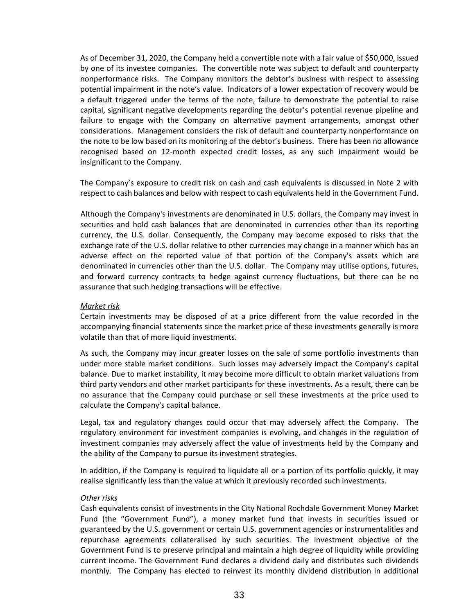As of December 31, 2020, the Company held a convertible note with a fair value of \$50,000, issued by one of its investee companies. The convertible note was subject to default and counterparty nonperformance risks. The Company monitors the debtor's business with respect to assessing potential impairment in the note's value. Indicators of a lower expectation of recovery would be a default triggered under the terms of the note, failure to demonstrate the potential to raise capital, significant negative developments regarding the debtor's potential revenue pipeline and failure to engage with the Company on alternative payment arrangements, amongst other considerations. Management considers the risk of default and counterparty nonperformance on the note to be low based on its monitoring of the debtor's business. There has been no allowance recognised based on 12-month expected credit losses, as any such impairment would be insignificant to the Company.

The Company's exposure to credit risk on cash and cash equivalents is discussed in Note 2 with respect to cash balances and below with respect to cash equivalents held in the Government Fund.

Although the Company's investments are denominated in U.S. dollars, the Company may invest in securities and hold cash balances that are denominated in currencies other than its reporting currency, the U.S. dollar. Consequently, the Company may become exposed to risks that the exchange rate of the U.S. dollar relative to other currencies may change in a manner which has an adverse effect on the reported value of that portion of the Company's assets which are denominated in currencies other than the U.S. dollar. The Company may utilise options, futures, and forward currency contracts to hedge against currency fluctuations, but there can be no assurance that such hedging transactions will be effective.

#### *Market risk*

Certain investments may be disposed of at a price different from the value recorded in the accompanying financial statements since the market price of these investments generally is more volatile than that of more liquid investments.

As such, the Company may incur greater losses on the sale of some portfolio investments than under more stable market conditions. Such losses may adversely impact the Company's capital balance. Due to market instability, it may become more difficult to obtain market valuations from third party vendors and other market participants for these investments. As a result, there can be no assurance that the Company could purchase or sell these investments at the price used to calculate the Company's capital balance.

Legal, tax and regulatory changes could occur that may adversely affect the Company. The regulatory environment for investment companies is evolving, and changes in the regulation of investment companies may adversely affect the value of investments held by the Company and the ability of the Company to pursue its investment strategies.

In addition, if the Company is required to liquidate all or a portion of its portfolio quickly, it may realise significantly less than the value at which it previously recorded such investments.

#### *Other risks*

Cash equivalents consist of investments in the City National Rochdale Government Money Market Fund (the "Government Fund"), a money market fund that invests in securities issued or guaranteed by the U.S. government or certain U.S. government agencies or instrumentalities and repurchase agreements collateralised by such securities. The investment objective of the Government Fund is to preserve principal and maintain a high degree of liquidity while providing current income. The Government Fund declares a dividend daily and distributes such dividends monthly. The Company has elected to reinvest its monthly dividend distribution in additional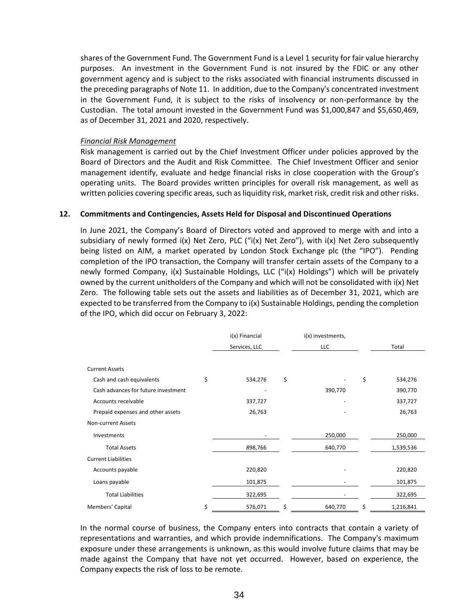shares of the Government Fund. The Government Fund is a Level 1 security for fair value hierarchy purposes. An investment in the Government Fund is not insured by the FDIC or any other government agency and is subject to the risks associated with financial instruments discussed in the preceding paragraphs of Note 11. In addition, due to the Company's concentrated investment in the Government Fund, it is subject to the risks of insolvency or non-performance by the Custodian. The total amount invested in the Government Fund was \$1,000,847 and \$5,650,469, as of December 31, 2021 and 2020, respectively.

#### *Financial Risk Management*

Risk management is carried out by the Chief Investment Officer under policies approved by the Board of Directors and the Audit and Risk Committee. The Chief Investment Officer and senior management identify, evaluate and hedge financial risks in close cooperation with the Group's operating units. The Board provides written principles for overall risk management, as well as written policies covering specific areas, such as liquidity risk, market risk, credit risk and other risks.

#### **12. Commitments and Contingencies, Assets Held for Disposal and Discontinued Operations**

In June 2021, the Company's Board of Directors voted and approved to merge with and into a subsidiary of newly formed i(x) Net Zero, PLC ("i(x) Net Zero"), with i(x) Net Zero subsequently being listed on AIM, a market operated by London Stock Exchange plc (the "IPO"). Pending completion of the IPO transaction, the Company will transfer certain assets of the Company to a newly formed Company, i(x) Sustainable Holdings, LLC ("i(x) Holdings") which will be privately owned by the current unitholders of the Company and which will not be consolidated with i(x) Net Zero. The following table sets out the assets and liabilities as of December 31, 2021, which are expected to be transferred from the Company to i(x) Sustainable Holdings, pending the completion of the IPO, which did occur on February 3, 2022:

|                                     | i(x) Financial | i(x) investments, |                 |
|-------------------------------------|----------------|-------------------|-----------------|
|                                     | Services, LLC  | <b>LLC</b>        | Total           |
|                                     |                |                   |                 |
| <b>Current Assets</b>               |                |                   |                 |
| Cash and cash equivalents           | \$<br>534,276  | \$                | \$<br>534,276   |
| Cash advances for future investment |                | 390,770           | 390,770         |
| Accounts receivable                 | 337,727        |                   | 337,727         |
| Prepaid expenses and other assets   | 26,763         |                   | 26,763          |
| <b>Non-current Assets</b>           |                |                   |                 |
| Investments                         |                | 250,000           | 250,000         |
| <b>Total Assets</b>                 | 898,766        | 640,770           | 1,539,536       |
| <b>Current Liabilities</b>          |                |                   |                 |
| Accounts payable                    | 220,820        |                   | 220,820         |
| Loans payable                       | 101,875        |                   | 101,875         |
| <b>Total Liabilities</b>            | 322,695        |                   | 322,695         |
| Members' Capital                    | \$<br>576,071  | \$<br>640,770     | \$<br>1,216,841 |

In the normal course of business, the Company enters into contracts that contain a variety of representations and warranties, and which provide indemnifications. The Company's maximum exposure under these arrangements is unknown, as this would involve future claims that may be made against the Company that have not yet occurred. However, based on experience, the Company expects the risk of loss to be remote.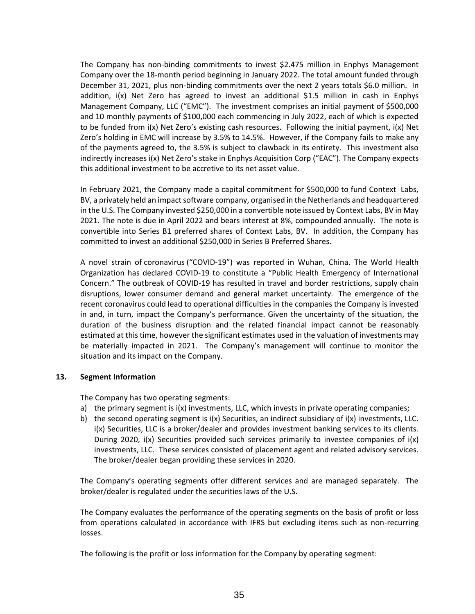The Company has non-binding commitments to invest \$2.475 million in Enphys Management Company over the 18-month period beginning in January 2022. The total amount funded through December 31, 2021, plus non-binding commitments over the next 2 years totals \$6.0 million. In addition, i(x) Net Zero has agreed to invest an additional \$1.5 million in cash in Enphys Management Company, LLC ("EMC"). The investment comprises an initial payment of \$500,000 and 10 monthly payments of \$100,000 each commencing in July 2022, each of which is expected to be funded from i(x) Net Zero's existing cash resources. Following the initial payment, i(x) Net Zero's holding in EMC will increase by 3.5% to 14.5%. However, if the Company fails to make any of the payments agreed to, the 3.5% is subject to clawback in its entirety. This investment also indirectly increases i(x) Net Zero's stake in Enphys Acquisition Corp ("EAC"). The Company expects this additional investment to be accretive to its net asset value.

In February 2021, the Company made a capital commitment for \$500,000 to fund Context Labs, BV, a privately held an impact software company, organised in the Netherlands and headquartered in the U.S. The Company invested \$250,000 in a convertible note issued by Context Labs, BV in May 2021. The note is due in April 2022 and bears interest at 8%, compounded annually. The note is convertible into Series B1 preferred shares of Context Labs, BV. In addition, the Company has committed to invest an additional \$250,000 in Series B Preferred Shares.

A novel strain of coronavirus ("COVID-19") was reported in Wuhan, China. The World Health Organization has declared COVID-19 to constitute a "Public Health Emergency of International Concern." The outbreak of COVID-19 has resulted in travel and border restrictions, supply chain disruptions, lower consumer demand and general market uncertainty. The emergence of the recent coronavirus could lead to operational difficulties in the companies the Company is invested in and, in turn, impact the Company's performance. Given the uncertainty of the situation, the duration of the business disruption and the related financial impact cannot be reasonably estimated at this time, however the significant estimates used in the valuation of investments may be materially impacted in 2021. The Company's management will continue to monitor the situation and its impact on the Company.

# **13. Segment Information**

The Company has two operating segments:

- a) the primary segment is i(x) investments, LLC, which invests in private operating companies;
- b) the second operating segment is  $i(x)$  Securities, an indirect subsidiary of  $i(x)$  investments, LLC. i(x) Securities, LLC is a broker/dealer and provides investment banking services to its clients. During 2020,  $i(x)$  Securities provided such services primarily to investee companies of  $i(x)$ investments, LLC. These services consisted of placement agent and related advisory services. The broker/dealer began providing these services in 2020.

The Company's operating segments offer different services and are managed separately. The broker/dealer is regulated under the securities laws of the U.S.

The Company evaluates the performance of the operating segments on the basis of profit or loss from operations calculated in accordance with IFRS but excluding items such as non-recurring losses.

The following is the profit or loss information for the Company by operating segment: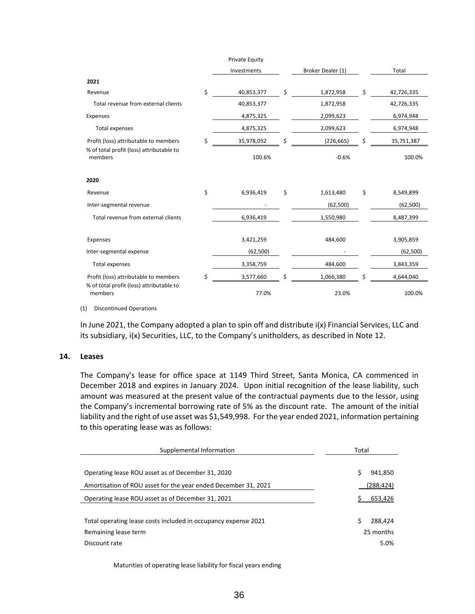|                                                                                   | Private Equity   |                   |                  |
|-----------------------------------------------------------------------------------|------------------|-------------------|------------------|
|                                                                                   | Investments      | Broker Dealer (1) | Total            |
| 2021                                                                              |                  |                   |                  |
| Revenue                                                                           | \$<br>40,853,377 | \$<br>1,872,958   | \$<br>42,726,335 |
| Total revenue from external clients                                               | 40,853,377       | 1,872,958         | 42,726,335       |
| Expenses                                                                          | 4,875,325        | 2,099,623         | 6,974,948        |
| <b>Total expenses</b>                                                             | 4,875,325        | 2,099,623         | 6,974,948        |
| Profit (loss) attributable to members                                             | \$<br>35,978,052 | \$<br>(226, 665)  | \$<br>35,751,387 |
| % of total profit (loss) attributable to<br>members                               | 100.6%           | $-0.6%$           | 100.0%           |
| 2020                                                                              |                  |                   |                  |
| Revenue                                                                           | \$<br>6,936,419  | \$<br>1,613,480   | \$<br>8,549,899  |
| Inter-segmental revenue                                                           |                  | (62, 500)         | (62, 500)        |
| Total revenue from external clients                                               | 6,936,419        | 1,550,980         | 8,487,399        |
| Expenses                                                                          | 3,421,259        | 484,600           | 3,905,859        |
| Inter-segmental expense                                                           | (62, 500)        |                   | (62, 500)        |
| <b>Total expenses</b>                                                             | 3,358,759        | 484,600           | 3,843,359        |
| Profit (loss) attributable to members<br>% of total profit (loss) attributable to | \$<br>3,577,660  | \$<br>1,066,380   | \$<br>4,644,040  |
| members                                                                           | 77.0%            | 23.0%             | 100.0%           |

(1) Discontinued Operations

In June 2021, the Company adopted a plan to spin off and distribute i(x) Financial Services, LLC and its subsidiary, i(x) Securities, LLC, to the Company's unitholders, as described in Note 12.

#### **14. Leases**

The Company's lease for office space at 1149 Third Street, Santa Monica, CA commenced in December 2018 and expires in January 2024. Upon initial recognition of the lease liability, such amount was measured at the present value of the contractual payments due to the lessor, using the Company's incremental borrowing rate of 5% as the discount rate. The amount of the initial liability and the right of use asset was \$1,549,998. For the year ended 2021, information pertaining to this operating lease was as follows:

| Supplemental Information                                                                                | Total                             |  |  |
|---------------------------------------------------------------------------------------------------------|-----------------------------------|--|--|
|                                                                                                         |                                   |  |  |
| Operating lease ROU asset as of December 31, 2020                                                       | 941,850<br>S                      |  |  |
| Amortisation of ROU asset for the year ended December 31, 2021                                          | (288,424)                         |  |  |
| Operating lease ROU asset as of December 31, 2021                                                       | 653,426                           |  |  |
| Total operating lease costs included in occupancy expense 2021<br>Remaining lease term<br>Discount rate | 288,424<br>Ś<br>25 months<br>5.0% |  |  |

Maturities of operating lease liability for fiscal years ending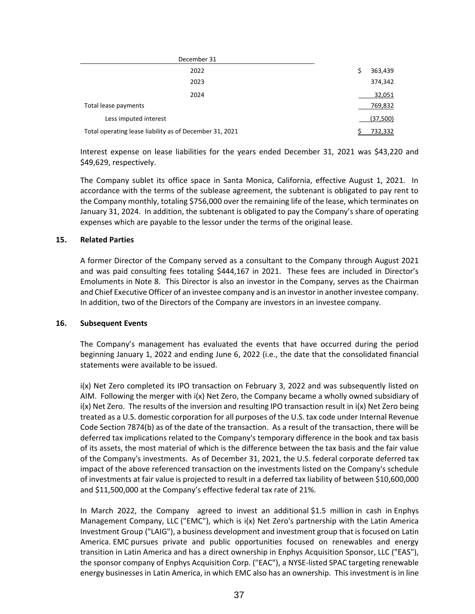| December 31                                             |               |
|---------------------------------------------------------|---------------|
| 2022                                                    | 363,439<br>\$ |
| 2023                                                    | 374,342       |
| 2024                                                    | 32,051        |
| Total lease payments                                    | 769,832       |
| Less imputed interest                                   | (37,500)      |
| Total operating lease liability as of December 31, 2021 | 732,332       |

Interest expense on lease liabilities for the years ended December 31, 2021 was \$43,220 and \$49,629, respectively.

The Company sublet its office space in Santa Monica, California, effective August 1, 2021. In accordance with the terms of the sublease agreement, the subtenant is obligated to pay rent to the Company monthly, totaling \$756,000 over the remaining life of the lease, which terminates on January 31, 2024. In addition, the subtenant is obligated to pay the Company's share of operating expenses which are payable to the lessor under the terms of the original lease.

# **15. Related Parties**

A former Director of the Company served as a consultant to the Company through August 2021 and was paid consulting fees totaling \$444,167 in 2021. These fees are included in Director's Emoluments in Note 8. This Director is also an investor in the Company, serves as the Chairman and Chief Executive Officer of an investee company and is an investor in another investee company. In addition, two of the Directors of the Company are investors in an investee company.

# **16. Subsequent Events**

The Company's management has evaluated the events that have occurred during the period beginning January 1, 2022 and ending June 6, 2022 (i.e., the date that the consolidated financial statements were available to be issued.

i(x) Net Zero completed its IPO transaction on February 3, 2022 and was subsequently listed on AIM. Following the merger with i(x) Net Zero, the Company became a wholly owned subsidiary of i(x) Net Zero. The results of the inversion and resulting IPO transaction result in i(x) Net Zero being treated as a U.S. domestic corporation for all purposes of the U.S. tax code under Internal Revenue Code Section 7874(b) as of the date of the transaction. As a result of the transaction, there will be deferred tax implications related to the Company's temporary difference in the book and tax basis of its assets, the most material of which is the difference between the tax basis and the fair value of the Company's investments. As of December 31, 2021, the U.S. federal corporate deferred tax impact of the above referenced transaction on the investments listed on the Company's schedule of investments at fair value is projected to result in a deferred tax liability of between \$10,600,000 and \$11,500,000 at the Company's effective federal tax rate of 21%.

In March 2022, the Company agreed to invest an additional \$1.5 million in cash in Enphys Management Company, LLC ("EMC"), which is i(x) Net Zero's partnership with the Latin America Investment Group ("LAIG"), a business development and investment group that is focused on Latin America. EMC pursues private and public opportunities focused on renewables and energy transition in Latin America and has a direct ownership in Enphys Acquisition Sponsor, LLC ("EAS"), the sponsor company of Enphys Acquisition Corp. ("EAC"), a NYSE-listed SPAC targeting renewable energy businesses in Latin America, in which EMC also has an ownership. This investment is in line